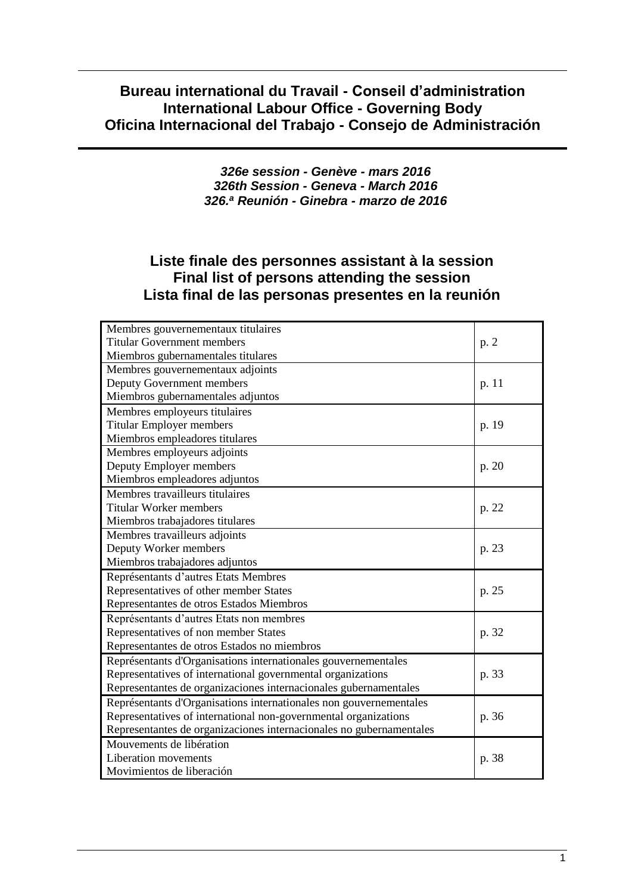## **Bureau international du Travail - Conseil d'administration International Labour Office - Governing Body Oficina Internacional del Trabajo - Consejo de Administración**

*326e session - Genève - mars 2016 326th Session - Geneva - March 2016 326.<sup>a</sup> Reunión - Ginebra - marzo de 2016*

## **Liste finale des personnes assistant à la session Final list of persons attending the session Lista final de las personas presentes en la reunión**

| Membres gouvernementaux titulaires                                  |       |
|---------------------------------------------------------------------|-------|
| <b>Titular Government members</b>                                   |       |
| Miembros gubernamentales titulares                                  |       |
| Membres gouvernementaux adjoints                                    |       |
| Deputy Government members                                           | p. 11 |
| Miembros gubernamentales adjuntos                                   |       |
| Membres employeurs titulaires                                       |       |
| <b>Titular Employer members</b>                                     | p. 19 |
| Miembros empleadores titulares                                      |       |
| Membres employeurs adjoints                                         |       |
| Deputy Employer members                                             | p. 20 |
| Miembros empleadores adjuntos                                       |       |
| Membres travailleurs titulaires                                     |       |
| <b>Titular Worker members</b>                                       | p. 22 |
| Miembros trabajadores titulares                                     |       |
| Membres travailleurs adjoints                                       |       |
| Deputy Worker members                                               | p. 23 |
| Miembros trabajadores adjuntos                                      |       |
| Représentants d'autres Etats Membres                                |       |
| Representatives of other member States                              | p. 25 |
| Representantes de otros Estados Miembros                            |       |
| Représentants d'autres Etats non membres                            |       |
| Representatives of non member States                                | p. 32 |
| Representantes de otros Estados no miembros                         |       |
| Représentants d'Organisations internationales gouvernementales      |       |
| Representatives of international governmental organizations         | p. 33 |
| Representantes de organizaciones internacionales gubernamentales    |       |
| Représentants d'Organisations internationales non gouvernementales  |       |
| Representatives of international non-governmental organizations     | p. 36 |
| Representantes de organizaciones internacionales no gubernamentales |       |
| Mouvements de libération                                            |       |
| Liberation movements                                                | p. 38 |
| Movimientos de liberación                                           |       |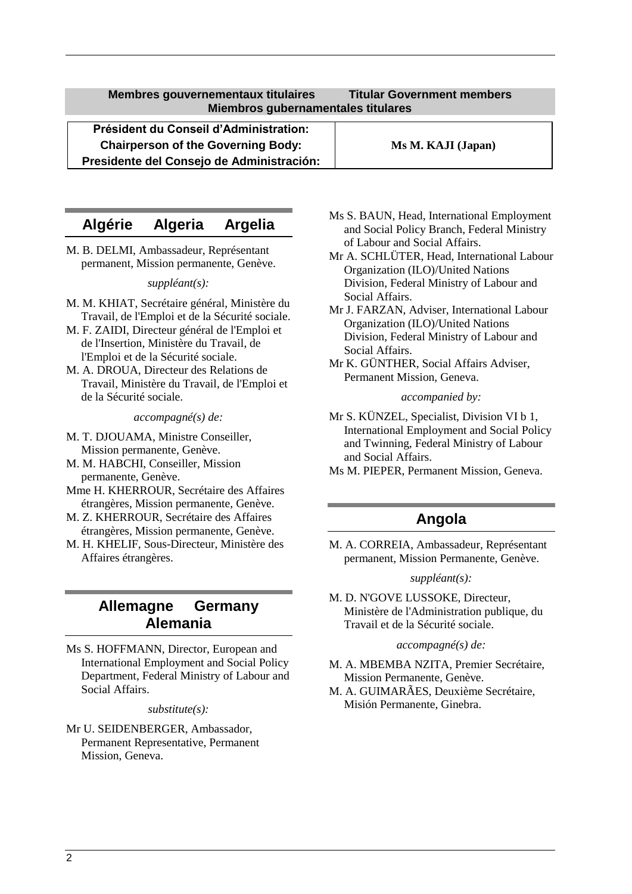<span id="page-1-0"></span>**Président du Conseil d'Administration: Chairperson of the Governing Body:** Ms M. KAJI (Japan) **Presidente del Consejo de Administración:**

## **Algérie Algeria Argelia**

M. B. DELMI, Ambassadeur, Représentant permanent, Mission permanente, Genève.

*suppléant(s):*

- M. M. KHIAT, Secrétaire général, Ministère du Travail, de l'Emploi et de la Sécurité sociale.
- M. F. ZAIDI, Directeur général de l'Emploi et de l'Insertion, Ministère du Travail, de l'Emploi et de la Sécurité sociale.
- M. A. DROUA, Directeur des Relations de Travail, Ministère du Travail, de l'Emploi et de la Sécurité sociale.

*accompagné(s) de:*

- M. T. DJOUAMA, Ministre Conseiller, Mission permanente, Genève.
- M. M. HABCHI, Conseiller, Mission permanente, Genève.
- Mme H. KHERROUR, Secrétaire des Affaires étrangères, Mission permanente, Genève.
- M. Z. KHERROUR, Secrétaire des Affaires étrangères, Mission permanente, Genève.
- M. H. KHELIF, Sous-Directeur, Ministère des Affaires étrangères.

## **Allemagne Germany Alemania**

Ms S. HOFFMANN, Director, European and International Employment and Social Policy Department, Federal Ministry of Labour and Social Affairs.

#### *substitute(s):*

Mr U. SEIDENBERGER, Ambassador, Permanent Representative, Permanent Mission, Geneva.

- Ms S. BAUN, Head, International Employment and Social Policy Branch, Federal Ministry of Labour and Social Affairs.
- Mr A. SCHLÜTER, Head, International Labour Organization (ILO)/United Nations Division, Federal Ministry of Labour and Social Affairs.
- Mr J. FARZAN, Adviser, International Labour Organization (ILO)/United Nations Division, Federal Ministry of Labour and Social Affairs.
- Mr K. GÜNTHER, Social Affairs Adviser, Permanent Mission, Geneva.

#### *accompanied by:*

- Mr S. KÜNZEL, Specialist, Division VI b 1, International Employment and Social Policy and Twinning, Federal Ministry of Labour and Social Affairs.
- Ms M. PIEPER, Permanent Mission, Geneva.

### **Angola**

M. A. CORREIA, Ambassadeur, Représentant permanent, Mission Permanente, Genève.

#### *suppléant(s):*

M. D. N'GOVE LUSSOKE, Directeur, Ministère de l'Administration publique, du Travail et de la Sécurité sociale.

#### *accompagné(s) de:*

- M. A. MBEMBA NZITA, Premier Secrétaire, Mission Permanente, Genève.
- M. A. GUIMARÃES, Deuxième Secrétaire, Misión Permanente, Ginebra.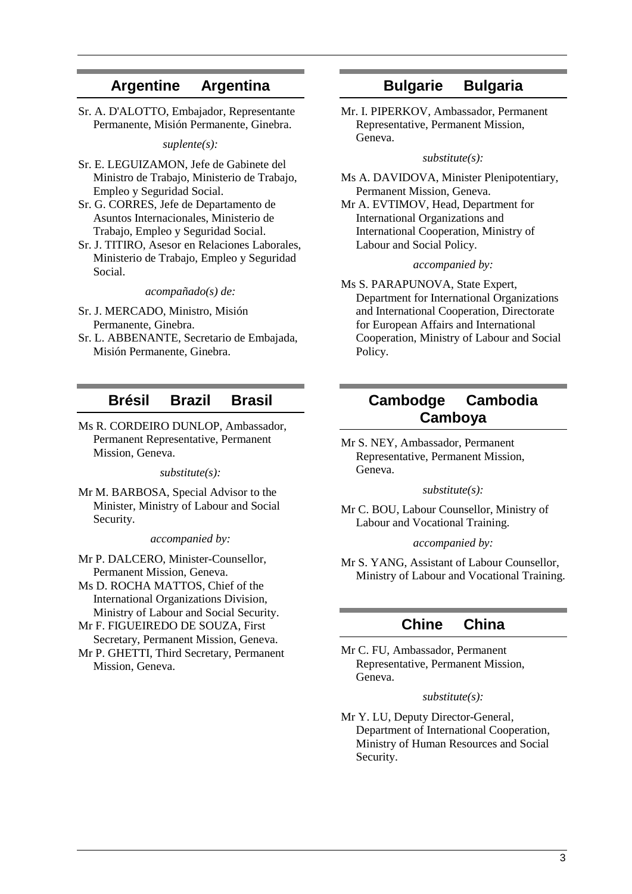### **Argentine Argentina**

Sr. A. D'ALOTTO, Embajador, Representante Permanente, Misión Permanente, Ginebra.

*suplente(s):*

- Sr. E. LEGUIZAMON, Jefe de Gabinete del Ministro de Trabajo, Ministerio de Trabajo, Empleo y Seguridad Social.
- Sr. G. CORRES, Jefe de Departamento de Asuntos Internacionales, Ministerio de Trabajo, Empleo y Seguridad Social.
- Sr. J. TITIRO, Asesor en Relaciones Laborales, Ministerio de Trabajo, Empleo y Seguridad Social.

*acompañado(s) de:*

- Sr. J. MERCADO, Ministro, Misión Permanente, Ginebra.
- Sr. L. ABBENANTE, Secretario de Embajada, Misión Permanente, Ginebra.

### **Brésil Brazil Brasil**

Ms R. CORDEIRO DUNLOP, Ambassador, Permanent Representative, Permanent Mission, Geneva.

*substitute(s):*

Mr M. BARBOSA, Special Advisor to the Minister, Ministry of Labour and Social Security.

*accompanied by:*

Mr P. DALCERO, Minister-Counsellor, Permanent Mission, Geneva.

Ms D. ROCHA MATTOS, Chief of the International Organizations Division, Ministry of Labour and Social Security.

Mr F. FIGUEIREDO DE SOUZA, First Secretary, Permanent Mission, Geneva.

Mr P. GHETTI, Third Secretary, Permanent Mission, Geneva.

## **Bulgarie Bulgaria**

Mr. I. PIPERKOV, Ambassador, Permanent Representative, Permanent Mission, Geneva.

*substitute(s):*

Ms A. DAVIDOVA, Minister Plenipotentiary, Permanent Mission, Geneva.

Mr A. EVTIMOV, Head, Department for International Organizations and International Cooperation, Ministry of Labour and Social Policy.

#### *accompanied by:*

Ms S. PARAPUNOVA, State Expert, Department for International Organizations and International Cooperation, Directorate for European Affairs and International Cooperation, Ministry of Labour and Social Policy.

## **Cambodge Cambodia Camboya**

Mr S. NEY, Ambassador, Permanent Representative, Permanent Mission, Geneva.

*substitute(s):*

Mr C. BOU, Labour Counsellor, Ministry of Labour and Vocational Training.

#### *accompanied by:*

Mr S. YANG, Assistant of Labour Counsellor, Ministry of Labour and Vocational Training.

### **Chine China**

Mr C. FU, Ambassador, Permanent Representative, Permanent Mission, Geneva.

#### *substitute(s):*

Mr Y. LU, Deputy Director-General, Department of International Cooperation, Ministry of Human Resources and Social Security.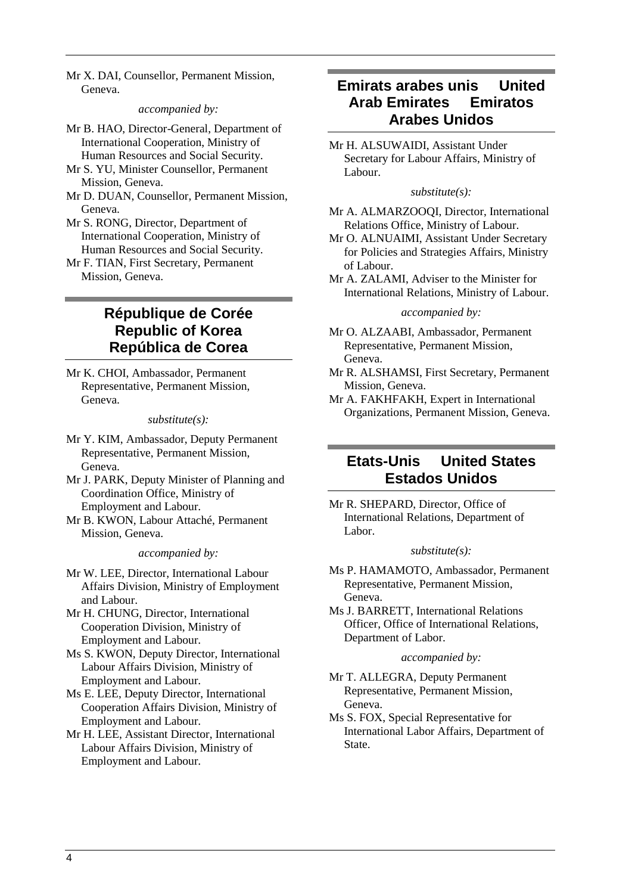Mr X. DAI, Counsellor, Permanent Mission, Geneva.

#### *accompanied by:*

- Mr B. HAO, Director-General, Department of International Cooperation, Ministry of Human Resources and Social Security.
- Mr S. YU, Minister Counsellor, Permanent Mission, Geneva.
- Mr D. DUAN, Counsellor, Permanent Mission, Geneva.
- Mr S. RONG, Director, Department of International Cooperation, Ministry of Human Resources and Social Security.
- Mr F. TIAN, First Secretary, Permanent Mission, Geneva.

## **République de Corée Republic of Korea República de Corea**

Mr K. CHOI, Ambassador, Permanent Representative, Permanent Mission, Geneva.

#### *substitute(s):*

- Mr Y. KIM, Ambassador, Deputy Permanent Representative, Permanent Mission, Geneva.
- Mr J. PARK, Deputy Minister of Planning and Coordination Office, Ministry of Employment and Labour.
- Mr B. KWON, Labour Attaché, Permanent Mission, Geneva.

#### *accompanied by:*

- Mr W. LEE, Director, International Labour Affairs Division, Ministry of Employment and Labour.
- Mr H. CHUNG, Director, International Cooperation Division, Ministry of Employment and Labour.
- Ms S. KWON, Deputy Director, International Labour Affairs Division, Ministry of Employment and Labour.
- Ms E. LEE, Deputy Director, International Cooperation Affairs Division, Ministry of Employment and Labour.
- Mr H. LEE, Assistant Director, International Labour Affairs Division, Ministry of Employment and Labour.

## **Emirats arabes unis United Arab Emirates Emiratos Arabes Unidos**

Mr H. ALSUWAIDI, Assistant Under Secretary for Labour Affairs, Ministry of Labour.

#### *substitute(s):*

- Mr A. ALMARZOOQI, Director, International Relations Office, Ministry of Labour.
- Mr O. ALNUAIMI, Assistant Under Secretary for Policies and Strategies Affairs, Ministry of Labour.
- Mr A. ZALAMI, Adviser to the Minister for International Relations, Ministry of Labour.

#### *accompanied by:*

- Mr O. ALZAABI, Ambassador, Permanent Representative, Permanent Mission, Geneva.
- Mr R. ALSHAMSI, First Secretary, Permanent Mission, Geneva.
- Mr A. FAKHFAKH, Expert in International Organizations, Permanent Mission, Geneva.

## **Etats-Unis United States Estados Unidos**

Mr R. SHEPARD, Director, Office of International Relations, Department of Labor.

#### *substitute(s):*

- Ms P. HAMAMOTO, Ambassador, Permanent Representative, Permanent Mission, Geneva.
- Ms J. BARRETT, International Relations Officer, Office of International Relations, Department of Labor.

#### *accompanied by:*

- Mr T. ALLEGRA, Deputy Permanent Representative, Permanent Mission, Geneva.
- Ms S. FOX, Special Representative for International Labor Affairs, Department of State.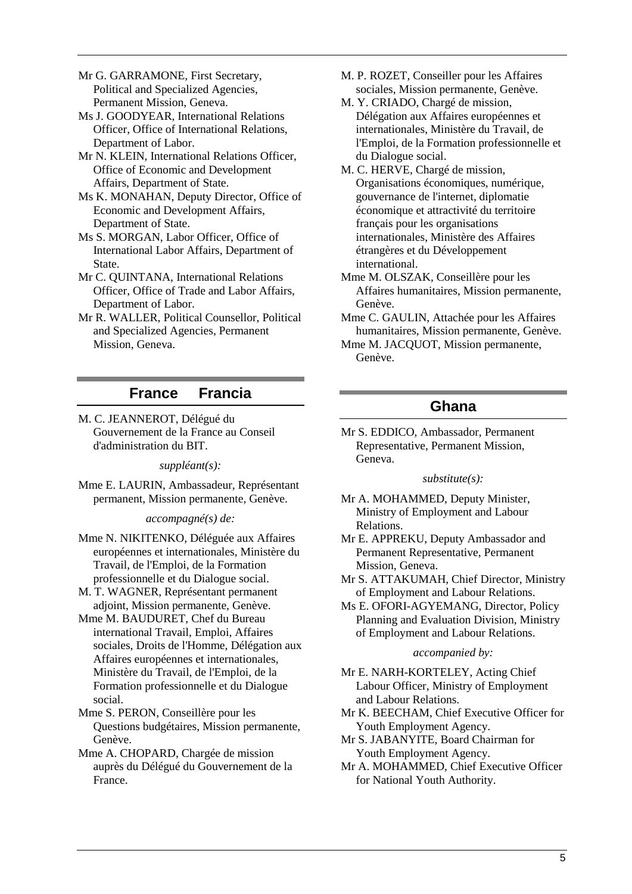Mr G. GARRAMONE, First Secretary, Political and Specialized Agencies, Permanent Mission, Geneva.

Ms J. GOODYEAR, International Relations Officer, Office of International Relations, Department of Labor.

Mr N. KLEIN, International Relations Officer, Office of Economic and Development Affairs, Department of State.

Ms K. MONAHAN, Deputy Director, Office of Economic and Development Affairs, Department of State.

Ms S. MORGAN, Labor Officer, Office of International Labor Affairs, Department of State.

Mr C. QUINTANA, International Relations Officer, Office of Trade and Labor Affairs, Department of Labor.

Mr R. WALLER, Political Counsellor, Political and Specialized Agencies, Permanent Mission, Geneva.

## **France Francia**

M. C. JEANNEROT, Délégué du Gouvernement de la France au Conseil d'administration du BIT.

*suppléant(s):*

Mme E. LAURIN, Ambassadeur, Représentant permanent, Mission permanente, Genève.

*accompagné(s) de:*

Mme N. NIKITENKO, Déléguée aux Affaires européennes et internationales, Ministère du Travail, de l'Emploi, de la Formation professionnelle et du Dialogue social.

M. T. WAGNER, Représentant permanent adjoint, Mission permanente, Genève.

Mme M. BAUDURET, Chef du Bureau international Travail, Emploi, Affaires sociales, Droits de l'Homme, Délégation aux Affaires européennes et internationales, Ministère du Travail, de l'Emploi, de la Formation professionnelle et du Dialogue social.

Mme S. PERON, Conseillère pour les Questions budgétaires, Mission permanente, Genève.

Mme A. CHOPARD, Chargée de mission auprès du Délégué du Gouvernement de la France.

- M. P. ROZET, Conseiller pour les Affaires sociales, Mission permanente, Genève.
- M. Y. CRIADO, Chargé de mission, Délégation aux Affaires européennes et internationales, Ministère du Travail, de l'Emploi, de la Formation professionnelle et du Dialogue social.
- M. C. HERVE, Chargé de mission, Organisations économiques, numérique, gouvernance de l'internet, diplomatie économique et attractivité du territoire français pour les organisations internationales, Ministère des Affaires étrangères et du Développement international.

Mme M. OLSZAK, Conseillère pour les Affaires humanitaires, Mission permanente, Genève.

- Mme C. GAULIN, Attachée pour les Affaires humanitaires, Mission permanente, Genève.
- Mme M. JACQUOT, Mission permanente, Genève.

## **Ghana**

Mr S. EDDICO, Ambassador, Permanent Representative, Permanent Mission, Geneva.

*substitute(s):*

- Mr A. MOHAMMED, Deputy Minister, Ministry of Employment and Labour Relations.
- Mr E. APPREKU, Deputy Ambassador and Permanent Representative, Permanent Mission, Geneva.
- Mr S. ATTAKUMAH, Chief Director, Ministry of Employment and Labour Relations.
- Ms E. OFORI-AGYEMANG, Director, Policy Planning and Evaluation Division, Ministry of Employment and Labour Relations.

#### *accompanied by:*

Mr E. NARH-KORTELEY, Acting Chief Labour Officer, Ministry of Employment and Labour Relations.

- Mr K. BEECHAM, Chief Executive Officer for Youth Employment Agency.
- Mr S. JABANYITE, Board Chairman for Youth Employment Agency.
- Mr A. MOHAMMED, Chief Executive Officer for National Youth Authority.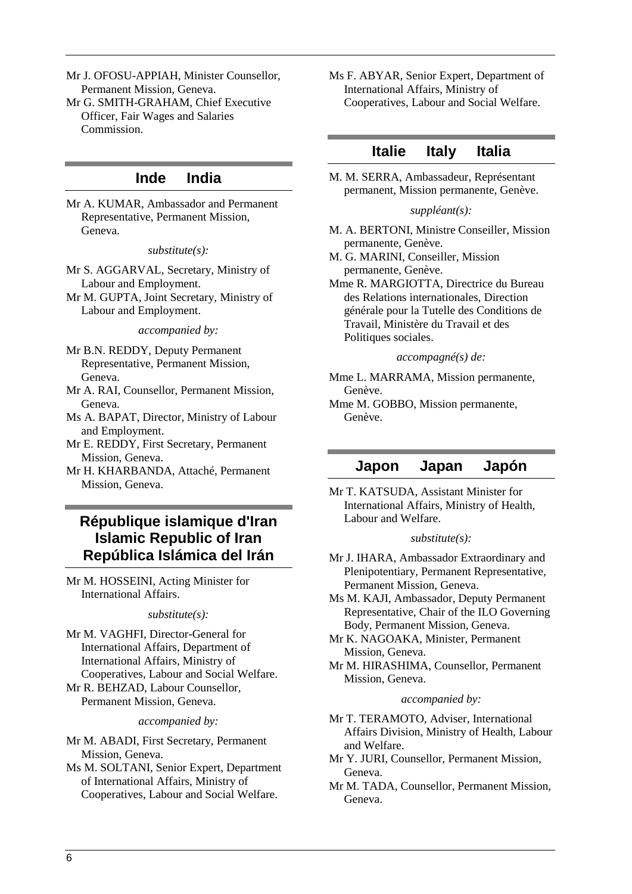Mr J. OFOSU-APPIAH, Minister Counsellor, Permanent Mission, Geneva. Mr G. SMITH-GRAHAM, Chief Executive

Officer, Fair Wages and Salaries Commission.

### **Inde India**

Mr A. KUMAR, Ambassador and Permanent Representative, Permanent Mission, Geneva.

#### *substitute(s):*

Mr S. AGGARVAL, Secretary, Ministry of Labour and Employment.

Mr M. GUPTA, Joint Secretary, Ministry of Labour and Employment.

*accompanied by:*

Mr B.N. REDDY, Deputy Permanent Representative, Permanent Mission, Geneva.

Mr A. RAI, Counsellor, Permanent Mission, Geneva.

Ms A. BAPAT, Director, Ministry of Labour and Employment.

- Mr E. REDDY, First Secretary, Permanent Mission, Geneva.
- Mr H. KHARBANDA, Attaché, Permanent Mission, Geneva.

## **République islamique d'Iran Islamic Republic of Iran República Islámica del Irán**

Mr M. HOSSEINI, Acting Minister for International Affairs.

#### *substitute(s):*

Mr M. VAGHFI, Director-General for International Affairs, Department of International Affairs, Ministry of Cooperatives, Labour and Social Welfare. Mr R. BEHZAD, Labour Counsellor,

Permanent Mission, Geneva.

#### *accompanied by:*

Mr M. ABADI, First Secretary, Permanent Mission, Geneva.

Ms M. SOLTANI, Senior Expert, Department of International Affairs, Ministry of Cooperatives, Labour and Social Welfare.

Ms F. ABYAR, Senior Expert, Department of International Affairs, Ministry of Cooperatives, Labour and Social Welfare.

### **Italie Italy Italia**

M. M. SERRA, Ambassadeur, Représentant permanent, Mission permanente, Genève.

#### *suppléant(s):*

- M. A. BERTONI, Ministre Conseiller, Mission permanente, Genève.
- M. G. MARINI, Conseiller, Mission permanente, Genève.
- Mme R. MARGIOTTA, Directrice du Bureau des Relations internationales, Direction générale pour la Tutelle des Conditions de Travail, Ministère du Travail et des Politiques sociales.

#### *accompagné(s) de:*

Mme L. MARRAMA, Mission permanente, Genève.

Mme M. GOBBO, Mission permanente, Genève.

### **Japon Japan Japón**

Mr T. KATSUDA, Assistant Minister for International Affairs, Ministry of Health, Labour and Welfare.

#### *substitute(s):*

- Mr J. IHARA, Ambassador Extraordinary and Plenipotentiary, Permanent Representative, Permanent Mission, Geneva.
- Ms M. KAJI, Ambassador, Deputy Permanent Representative, Chair of the ILO Governing Body, Permanent Mission, Geneva.
- Mr K. NAGOAKA, Minister, Permanent Mission, Geneva.
- Mr M. HIRASHIMA, Counsellor, Permanent Mission, Geneva.

#### *accompanied by:*

- Mr T. TERAMOTO, Adviser, International Affairs Division, Ministry of Health, Labour and Welfare.
- Mr Y. JURI, Counsellor, Permanent Mission, Geneva.
- Mr M. TADA, Counsellor, Permanent Mission, Geneva.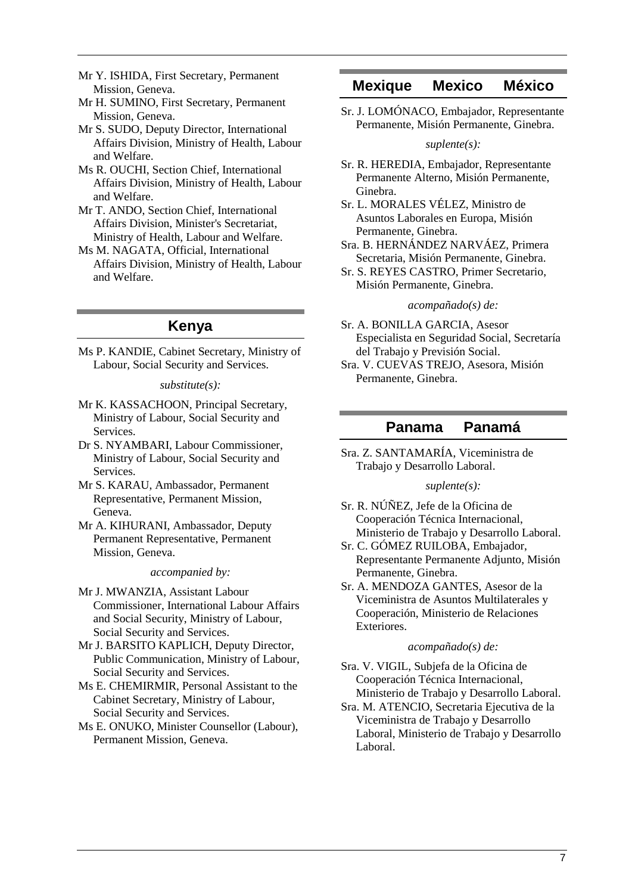- Mr Y. ISHIDA, First Secretary, Permanent Mission, Geneva.
- Mr H. SUMINO, First Secretary, Permanent Mission, Geneva.
- Mr S. SUDO, Deputy Director, International Affairs Division, Ministry of Health, Labour and Welfare.
- Ms R. OUCHI, Section Chief, International Affairs Division, Ministry of Health, Labour and Welfare.
- Mr T. ANDO, Section Chief, International Affairs Division, Minister's Secretariat, Ministry of Health, Labour and Welfare.
- Ms M. NAGATA, Official, International Affairs Division, Ministry of Health, Labour and Welfare.

## **Kenya**

Ms P. KANDIE, Cabinet Secretary, Ministry of Labour, Social Security and Services.

#### *substitute(s):*

- Mr K. KASSACHOON, Principal Secretary, Ministry of Labour, Social Security and Services.
- Dr S. NYAMBARI, Labour Commissioner, Ministry of Labour, Social Security and Services.
- Mr S. KARAU, Ambassador, Permanent Representative, Permanent Mission, Geneva.
- Mr A. KIHURANI, Ambassador, Deputy Permanent Representative, Permanent Mission, Geneva.

#### *accompanied by:*

- Mr J. MWANZIA, Assistant Labour Commissioner, International Labour Affairs and Social Security, Ministry of Labour, Social Security and Services.
- Mr J. BARSITO KAPLICH, Deputy Director, Public Communication, Ministry of Labour, Social Security and Services.
- Ms E. CHEMIRMIR, Personal Assistant to the Cabinet Secretary, Ministry of Labour, Social Security and Services.
- Ms E. ONUKO, Minister Counsellor (Labour), Permanent Mission, Geneva.

### **Mexique Mexico México**

Sr. J. LOMÓNACO, Embajador, Representante Permanente, Misión Permanente, Ginebra.

#### *suplente(s):*

- Sr. R. HEREDIA, Embajador, Representante Permanente Alterno, Misión Permanente, Ginebra.
- Sr. L. MORALES VÉLEZ, Ministro de Asuntos Laborales en Europa, Misión Permanente, Ginebra.
- Sra. B. HERNÁNDEZ NARVÁEZ, Primera Secretaria, Misión Permanente, Ginebra.
- Sr. S. REYES CASTRO, Primer Secretario, Misión Permanente, Ginebra.

#### *acompañado(s) de:*

- Sr. A. BONILLA GARCIA, Asesor Especialista en Seguridad Social, Secretaría del Trabajo y Previsión Social.
- Sra. V. CUEVAS TREJO, Asesora, Misión Permanente, Ginebra.

### **Panama Panamá**

Sra. Z. SANTAMARÍA, Viceministra de Trabajo y Desarrollo Laboral.

#### *suplente(s):*

- Sr. R. NÚÑEZ, Jefe de la Oficina de Cooperación Técnica Internacional, Ministerio de Trabajo y Desarrollo Laboral.
- Sr. C. GÓMEZ RUILOBA, Embajador, Representante Permanente Adjunto, Misión Permanente, Ginebra.
- Sr. A. MENDOZA GANTES, Asesor de la Viceministra de Asuntos Multilaterales y Cooperación, Ministerio de Relaciones Exteriores.

#### *acompañado(s) de:*

- Sra. V. VIGIL, Subjefa de la Oficina de Cooperación Técnica Internacional, Ministerio de Trabajo y Desarrollo Laboral.
- Sra. M. ATENCIO, Secretaria Ejecutiva de la Viceministra de Trabajo y Desarrollo Laboral, Ministerio de Trabajo y Desarrollo Laboral.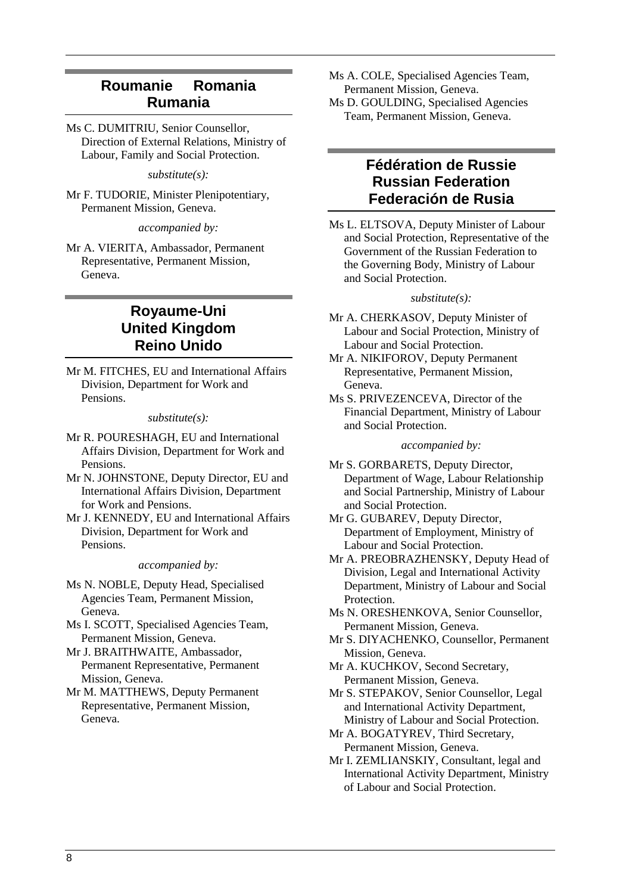## **Roumanie Romania Rumania**

Ms C. DUMITRIU, Senior Counsellor, Direction of External Relations, Ministry of Labour, Family and Social Protection.

*substitute(s):*

Mr F. TUDORIE, Minister Plenipotentiary, Permanent Mission, Geneva.

*accompanied by:*

Mr A. VIERITA, Ambassador, Permanent Representative, Permanent Mission, Geneva.

## **Royaume-Uni United Kingdom Reino Unido**

Mr M. FITCHES, EU and International Affairs Division, Department for Work and Pensions.

*substitute(s):*

- Mr R. POURESHAGH, EU and International Affairs Division, Department for Work and Pensions.
- Mr N. JOHNSTONE, Deputy Director, EU and International Affairs Division, Department for Work and Pensions.
- Mr J. KENNEDY, EU and International Affairs Division, Department for Work and Pensions.

*accompanied by:*

Ms N. NOBLE, Deputy Head, Specialised Agencies Team, Permanent Mission, Geneva.

Ms I. SCOTT, Specialised Agencies Team, Permanent Mission, Geneva.

- Mr J. BRAITHWAITE, Ambassador, Permanent Representative, Permanent Mission, Geneva.
- Mr M. MATTHEWS, Deputy Permanent Representative, Permanent Mission, Geneva.

Ms A. COLE, Specialised Agencies Team, Permanent Mission, Geneva. Ms D. GOULDING, Specialised Agencies Team, Permanent Mission, Geneva.

## **Fédération de Russie Russian Federation Federación de Rusia**

Ms L. ELTSOVA, Deputy Minister of Labour and Social Protection, Representative of the Government of the Russian Federation to the Governing Body, Ministry of Labour and Social Protection.

#### *substitute(s):*

- Mr A. CHERKASOV, Deputy Minister of Labour and Social Protection, Ministry of Labour and Social Protection.
- Mr A. NIKIFOROV, Deputy Permanent Representative, Permanent Mission, Geneva.
- Ms S. PRIVEZENCEVA, Director of the Financial Department, Ministry of Labour and Social Protection.

*accompanied by:*

Mr S. GORBARETS, Deputy Director, Department of Wage, Labour Relationship and Social Partnership, Ministry of Labour and Social Protection.

Mr G. GUBAREV, Deputy Director, Department of Employment, Ministry of Labour and Social Protection.

- Mr A. PREOBRAZHENSKY, Deputy Head of Division, Legal and International Activity Department, Ministry of Labour and Social Protection.
- Ms N. ORESHENKOVA, Senior Counsellor, Permanent Mission, Geneva.
- Mr S. DIYACHENKO, Counsellor, Permanent Mission, Geneva.

Mr A. KUCHKOV, Second Secretary, Permanent Mission, Geneva.

- Mr S. STEPAKOV, Senior Counsellor, Legal and International Activity Department, Ministry of Labour and Social Protection.
- Mr A. BOGATYREV, Third Secretary, Permanent Mission, Geneva.
- Mr I. ZEMLIANSKIY, Consultant, legal and International Activity Department, Ministry of Labour and Social Protection.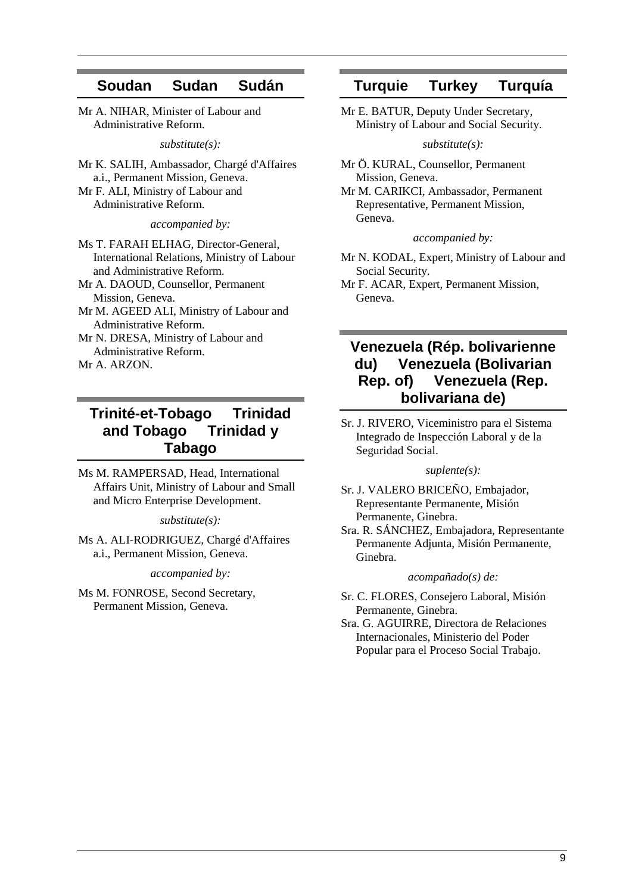## **Soudan Sudan Sudán**

Mr A. NIHAR, Minister of Labour and Administrative Reform.

*substitute(s):*

Mr K. SALIH, Ambassador, Chargé d'Affaires a.i., Permanent Mission, Geneva. Mr F. ALI, Ministry of Labour and Administrative Reform.

*accompanied by:*

Ms T. FARAH ELHAG, Director-General, International Relations, Ministry of Labour and Administrative Reform.

Mr A. DAOUD, Counsellor, Permanent Mission, Geneva.

Mr M. AGEED ALI, Ministry of Labour and Administrative Reform.

Mr N. DRESA, Ministry of Labour and Administrative Reform.

Mr A. ARZON.

## **Trinité-et-Tobago Trinidad and Tobago Trinidad y Tabago**

Ms M. RAMPERSAD, Head, International Affairs Unit, Ministry of Labour and Small and Micro Enterprise Development.

*substitute(s):*

Ms A. ALI-RODRIGUEZ, Chargé d'Affaires a.i., Permanent Mission, Geneva.

*accompanied by:*

Ms M. FONROSE, Second Secretary, Permanent Mission, Geneva.

### **Turquie Turkey Turquía**

Mr E. BATUR, Deputy Under Secretary, Ministry of Labour and Social Security.

*substitute(s):*

Mr Ö. KURAL, Counsellor, Permanent Mission, Geneva.

Mr M. CARIKCI, Ambassador, Permanent Representative, Permanent Mission, Geneva.

*accompanied by:*

Mr N. KODAL, Expert, Ministry of Labour and Social Security.

Mr F. ACAR, Expert, Permanent Mission, Geneva.

## **Venezuela (Rép. bolivarienne du) Venezuela (Bolivarian Rep. of) Venezuela (Rep. bolivariana de)**

Sr. J. RIVERO, Viceministro para el Sistema Integrado de Inspección Laboral y de la Seguridad Social.

*suplente(s):*

Sr. J. VALERO BRICEÑO, Embajador, Representante Permanente, Misión Permanente, Ginebra.

Sra. R. SÁNCHEZ, Embajadora, Representante Permanente Adjunta, Misión Permanente, Ginebra.

#### *acompañado(s) de:*

Sr. C. FLORES, Consejero Laboral, Misión Permanente, Ginebra.

Sra. G. AGUIRRE, Directora de Relaciones Internacionales, Ministerio del Poder Popular para el Proceso Social Trabajo.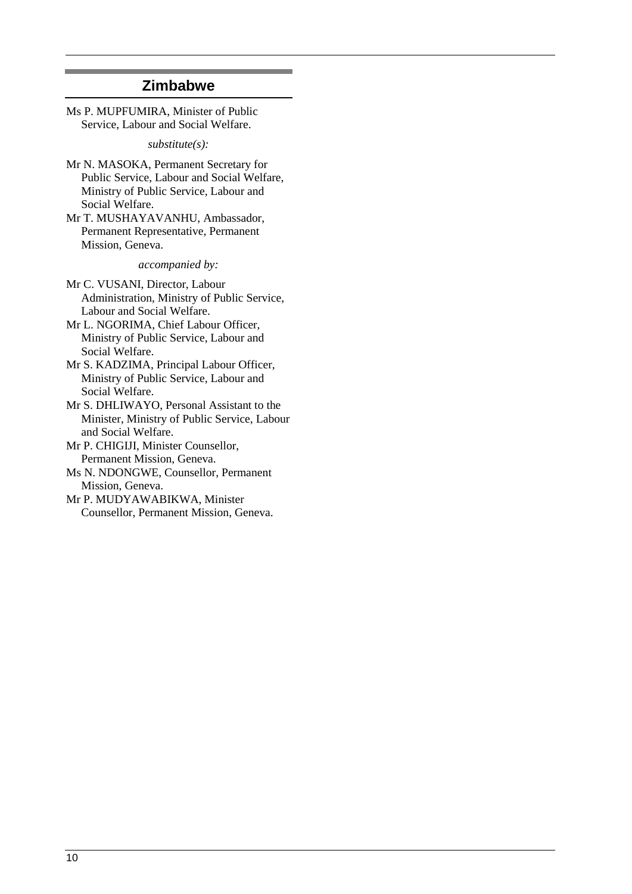### **Zimbabwe**

Ms P. MUPFUMIRA, Minister of Public Service, Labour and Social Welfare.

*substitute(s):*

- Mr N. MASOKA, Permanent Secretary for Public Service, Labour and Social Welfare, Ministry of Public Service, Labour and Social Welfare.
- Mr T. MUSHAYAVANHU, Ambassador, Permanent Representative, Permanent Mission, Geneva.

*accompanied by:*

Mr C. VUSANI, Director, Labour Administration, Ministry of Public Service, Labour and Social Welfare.

- Mr L. NGORIMA, Chief Labour Officer, Ministry of Public Service, Labour and Social Welfare.
- Mr S. KADZIMA, Principal Labour Officer, Ministry of Public Service, Labour and Social Welfare.
- Mr S. DHLIWAYO, Personal Assistant to the Minister, Ministry of Public Service, Labour and Social Welfare.
- Mr P. CHIGIJI, Minister Counsellor, Permanent Mission, Geneva.

Ms N. NDONGWE, Counsellor, Permanent Mission, Geneva.

Mr P. MUDYAWABIKWA, Minister Counsellor, Permanent Mission, Geneva.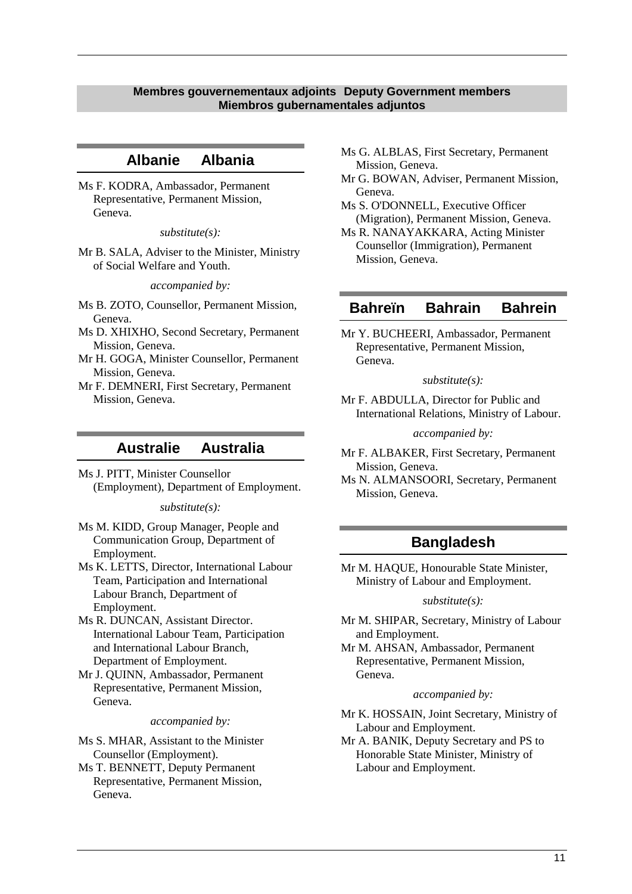#### <span id="page-10-0"></span>**Membres gouvernementaux adjoints Deputy Government members Miembros gubernamentales adjuntos**

### **Albanie Albania**

Ms F. KODRA, Ambassador, Permanent Representative, Permanent Mission, Geneva.

*substitute(s):*

Mr B. SALA, Adviser to the Minister, Ministry of Social Welfare and Youth.

*accompanied by:*

- Ms B. ZOTO, Counsellor, Permanent Mission, Geneva.
- Ms D. XHIXHO, Second Secretary, Permanent Mission, Geneva.
- Mr H. GOGA, Minister Counsellor, Permanent Mission, Geneva.
- Mr F. DEMNERI, First Secretary, Permanent Mission, Geneva.

### **Australie Australia**

Ms J. PITT, Minister Counsellor (Employment), Department of Employment.

*substitute(s):*

Ms M. KIDD, Group Manager, People and Communication Group, Department of Employment.

Ms K. LETTS, Director, International Labour Team, Participation and International Labour Branch, Department of Employment.

Ms R. DUNCAN, Assistant Director. International Labour Team, Participation and International Labour Branch, Department of Employment.

Mr J. QUINN, Ambassador, Permanent Representative, Permanent Mission, Geneva.

*accompanied by:*

Ms S. MHAR, Assistant to the Minister Counsellor (Employment).

Ms T. BENNETT, Deputy Permanent Representative, Permanent Mission, Geneva.

- Ms G. ALBLAS, First Secretary, Permanent Mission, Geneva.
- Mr G. BOWAN, Adviser, Permanent Mission, Geneva.
- Ms S. O'DONNELL, Executive Officer (Migration), Permanent Mission, Geneva.
- Ms R. NANAYAKKARA, Acting Minister Counsellor (Immigration), Permanent Mission, Geneva.

### **Bahreïn Bahrain Bahrein**

Mr Y. BUCHEERI, Ambassador, Permanent Representative, Permanent Mission, Geneva.

*substitute(s):*

Mr F. ABDULLA, Director for Public and International Relations, Ministry of Labour.

*accompanied by:*

- Mr F. ALBAKER, First Secretary, Permanent Mission, Geneva.
- Ms N. ALMANSOORI, Secretary, Permanent Mission, Geneva.

## **Bangladesh**

Mr M. HAQUE, Honourable State Minister, Ministry of Labour and Employment.

#### *substitute(s):*

Mr M. SHIPAR, Secretary, Ministry of Labour and Employment.

Mr M. AHSAN, Ambassador, Permanent Representative, Permanent Mission, Geneva.

#### *accompanied by:*

Mr K. HOSSAIN, Joint Secretary, Ministry of Labour and Employment.

Mr A. BANIK, Deputy Secretary and PS to Honorable State Minister, Ministry of Labour and Employment.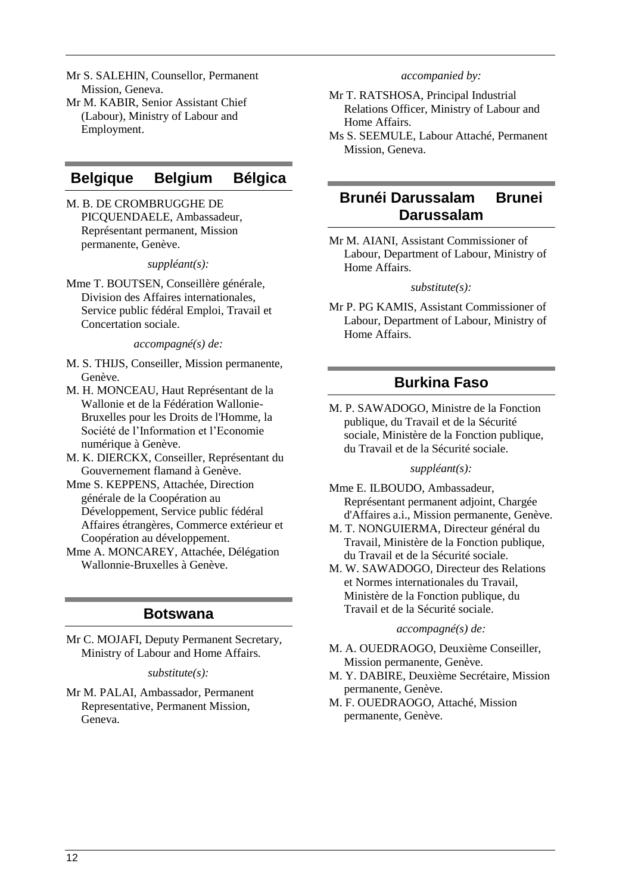- Mr S. SALEHIN, Counsellor, Permanent Mission, Geneva.
- Mr M. KABIR, Senior Assistant Chief (Labour), Ministry of Labour and Employment.

## **Belgique Belgium Bélgica**

M. B. DE CROMBRUGGHE DE PICQUENDAELE, Ambassadeur, Représentant permanent, Mission permanente, Genève.

#### *suppléant(s):*

Mme T. BOUTSEN, Conseillère générale, Division des Affaires internationales, Service public fédéral Emploi, Travail et Concertation sociale.

*accompagné(s) de:*

- M. S. THIJS, Conseiller, Mission permanente, Genève.
- M. H. MONCEAU, Haut Représentant de la Wallonie et de la Fédération Wallonie-Bruxelles pour les Droits de l'Homme, la Société de l'Information et l'Economie numérique à Genève.
- M. K. DIERCKX, Conseiller, Représentant du Gouvernement flamand à Genève.
- Mme S. KEPPENS, Attachée, Direction générale de la Coopération au Développement, Service public fédéral Affaires étrangères, Commerce extérieur et Coopération au développement.
- Mme A. MONCAREY, Attachée, Délégation Wallonnie-Bruxelles à Genève.

## **Botswana**

Mr C. MOJAFI, Deputy Permanent Secretary, Ministry of Labour and Home Affairs.

#### *substitute(s):*

Mr M. PALAI, Ambassador, Permanent Representative, Permanent Mission, Geneva.

#### *accompanied by:*

- Mr T. RATSHOSA, Principal Industrial Relations Officer, Ministry of Labour and Home Affairs.
- Ms S. SEEMULE, Labour Attaché, Permanent Mission, Geneva.

## **Brunéi Darussalam Brunei Darussalam**

Mr M. AIANI, Assistant Commissioner of Labour, Department of Labour, Ministry of Home Affairs.

*substitute(s):*

Mr P. PG KAMIS, Assistant Commissioner of Labour, Department of Labour, Ministry of Home Affairs.

## **Burkina Faso**

M. P. SAWADOGO, Ministre de la Fonction publique, du Travail et de la Sécurité sociale, Ministère de la Fonction publique, du Travail et de la Sécurité sociale.

#### *suppléant(s):*

- Mme E. ILBOUDO, Ambassadeur, Représentant permanent adjoint, Chargée d'Affaires a.i., Mission permanente, Genève.
- M. T. NONGUIERMA, Directeur général du Travail, Ministère de la Fonction publique, du Travail et de la Sécurité sociale.
- M. W. SAWADOGO, Directeur des Relations et Normes internationales du Travail, Ministère de la Fonction publique, du Travail et de la Sécurité sociale.

#### *accompagné(s) de:*

- M. A. OUEDRAOGO, Deuxième Conseiller, Mission permanente, Genève.
- M. Y. DABIRE, Deuxième Secrétaire, Mission permanente, Genève.
- M. F. OUEDRAOGO, Attaché, Mission permanente, Genève.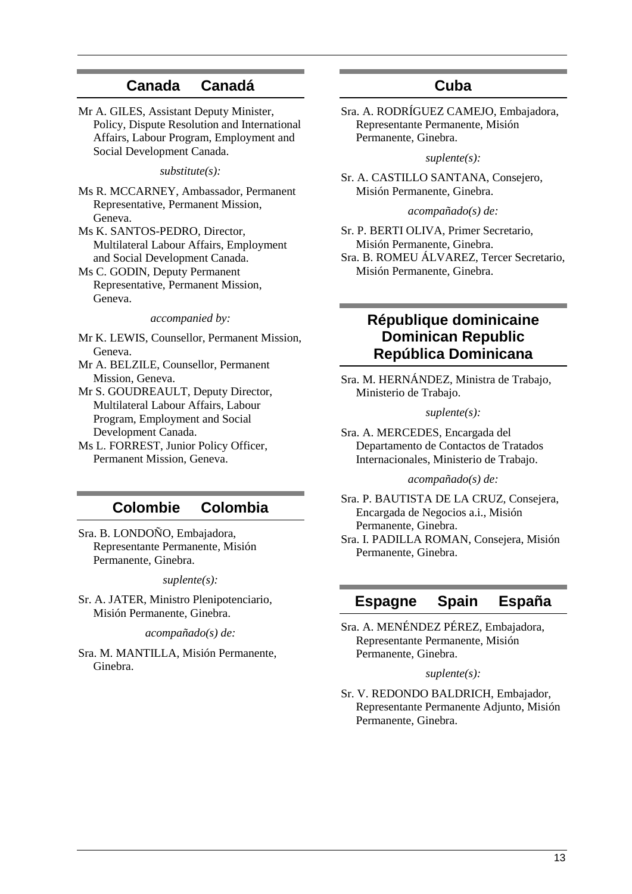### **Canada Canadá**

Mr A. GILES, Assistant Deputy Minister, Policy, Dispute Resolution and International Affairs, Labour Program, Employment and Social Development Canada.

*substitute(s):*

- Ms R. MCCARNEY, Ambassador, Permanent Representative, Permanent Mission, Geneva.
- Ms K. SANTOS-PEDRO, Director, Multilateral Labour Affairs, Employment and Social Development Canada.
- Ms C. GODIN, Deputy Permanent Representative, Permanent Mission, Geneva.

*accompanied by:*

- Mr K. LEWIS, Counsellor, Permanent Mission, Geneva.
- Mr A. BELZILE, Counsellor, Permanent Mission, Geneva.
- Mr S. GOUDREAULT, Deputy Director, Multilateral Labour Affairs, Labour Program, Employment and Social Development Canada.
- Ms L. FORREST, Junior Policy Officer, Permanent Mission, Geneva.

### **Colombie Colombia**

Sra. B. LONDOÑO, Embajadora, Representante Permanente, Misión Permanente, Ginebra.

#### *suplente(s):*

Sr. A. JATER, Ministro Plenipotenciario, Misión Permanente, Ginebra.

*acompañado(s) de:*

Sra. M. MANTILLA, Misión Permanente, Ginebra.

### **Cuba**

Sra. A. RODRÍGUEZ CAMEJO, Embajadora, Representante Permanente, Misión Permanente, Ginebra.

*suplente(s):*

Sr. A. CASTILLO SANTANA, Consejero, Misión Permanente, Ginebra.

#### *acompañado(s) de:*

Sr. P. BERTI OLIVA, Primer Secretario, Misión Permanente, Ginebra. Sra. B. ROMEU ÁLVAREZ, Tercer Secretario, Misión Permanente, Ginebra.

## **République dominicaine Dominican Republic República Dominicana**

Sra. M. HERNÁNDEZ, Ministra de Trabajo, Ministerio de Trabajo.

#### *suplente(s):*

Sra. A. MERCEDES, Encargada del Departamento de Contactos de Tratados Internacionales, Ministerio de Trabajo.

#### *acompañado(s) de:*

Sra. P. BAUTISTA DE LA CRUZ, Consejera, Encargada de Negocios a.i., Misión Permanente, Ginebra.

Sra. I. PADILLA ROMAN, Consejera, Misión Permanente, Ginebra.

### **Espagne Spain España**

Sra. A. MENÉNDEZ PÉREZ, Embajadora, Representante Permanente, Misión Permanente, Ginebra.

#### *suplente(s):*

Sr. V. REDONDO BALDRICH, Embajador, Representante Permanente Adjunto, Misión Permanente, Ginebra.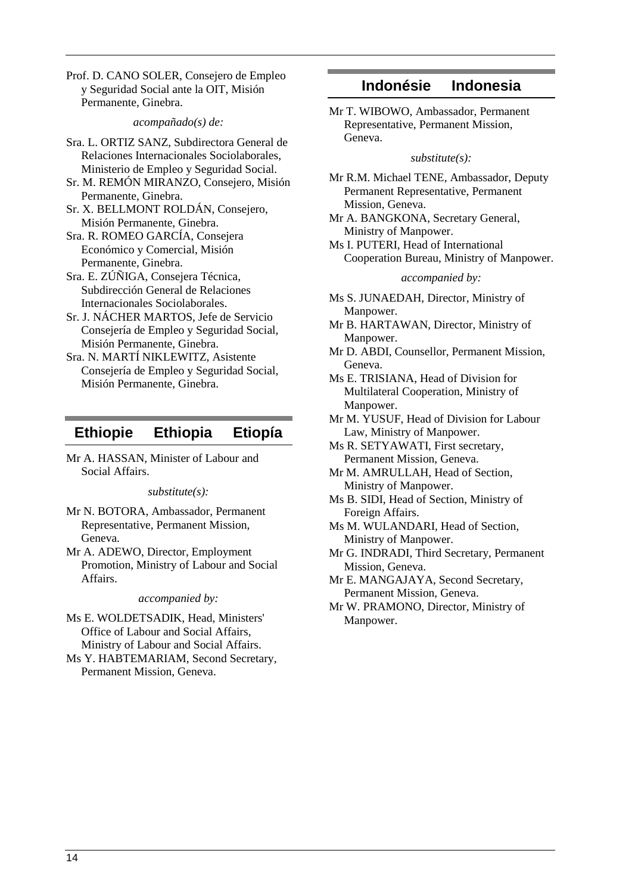Prof. D. CANO SOLER, Consejero de Empleo y Seguridad Social ante la OIT, Misión Permanente, Ginebra.

*acompañado(s) de:*

Sra. L. ORTIZ SANZ, Subdirectora General de Relaciones Internacionales Sociolaborales, Ministerio de Empleo y Seguridad Social.

- Sr. M. REMÓN MIRANZO, Consejero, Misión Permanente, Ginebra.
- Sr. X. BELLMONT ROLDÁN, Consejero, Misión Permanente, Ginebra.
- Sra. R. ROMEO GARCÍA, Consejera Económico y Comercial, Misión Permanente, Ginebra.

Sra. E. ZÚÑIGA, Consejera Técnica, Subdirección General de Relaciones Internacionales Sociolaborales.

- Sr. J. NÁCHER MARTOS, Jefe de Servicio Consejería de Empleo y Seguridad Social, Misión Permanente, Ginebra.
- Sra. N. MARTÍ NIKLEWITZ, Asistente Consejería de Empleo y Seguridad Social, Misión Permanente, Ginebra.

### **Ethiopie Ethiopia Etiopía**

Mr A. HASSAN, Minister of Labour and Social Affairs.

*substitute(s):*

- Mr N. BOTORA, Ambassador, Permanent Representative, Permanent Mission, Geneva.
- Mr A. ADEWO, Director, Employment Promotion, Ministry of Labour and Social Affairs.

#### *accompanied by:*

Ms E. WOLDETSADIK, Head, Ministers' Office of Labour and Social Affairs, Ministry of Labour and Social Affairs.

Ms Y. HABTEMARIAM, Second Secretary, Permanent Mission, Geneva.

### **Indonésie Indonesia**

Mr T. WIBOWO, Ambassador, Permanent Representative, Permanent Mission, Geneva.

#### *substitute(s):*

- Mr R.M. Michael TENE, Ambassador, Deputy Permanent Representative, Permanent Mission, Geneva.
- Mr A. BANGKONA, Secretary General, Ministry of Manpower.
- Ms I. PUTERI, Head of International Cooperation Bureau, Ministry of Manpower.

#### *accompanied by:*

- Ms S. JUNAEDAH, Director, Ministry of Manpower.
- Mr B. HARTAWAN, Director, Ministry of Manpower.
- Mr D. ABDI, Counsellor, Permanent Mission, Geneva.
- Ms E. TRISIANA, Head of Division for Multilateral Cooperation, Ministry of Manpower.
- Mr M. YUSUF, Head of Division for Labour Law, Ministry of Manpower.
- Ms R. SETYAWATI, First secretary, Permanent Mission, Geneva.
- Mr M. AMRULLAH, Head of Section, Ministry of Manpower.
- Ms B. SIDI, Head of Section, Ministry of Foreign Affairs.
- Ms M. WULANDARI, Head of Section, Ministry of Manpower.
- Mr G. INDRADI, Third Secretary, Permanent Mission, Geneva.
- Mr E. MANGAJAYA, Second Secretary, Permanent Mission, Geneva.
- Mr W. PRAMONO, Director, Ministry of Manpower.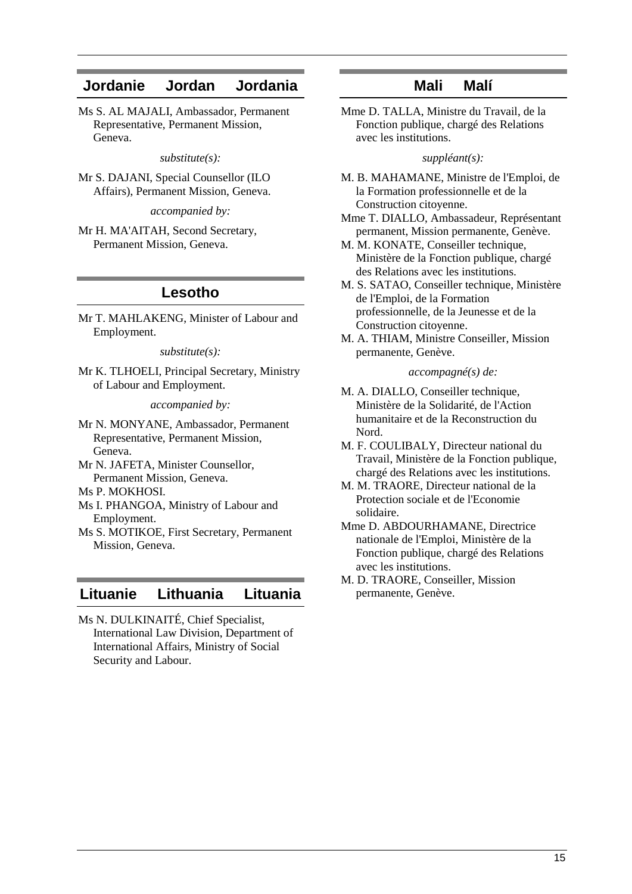### **Jordanie Jordan Jordania**

Ms S. AL MAJALI, Ambassador, Permanent Representative, Permanent Mission, Geneva.

*substitute(s):*

Mr S. DAJANI, Special Counsellor (ILO Affairs), Permanent Mission, Geneva.

*accompanied by:*

Mr H. MA'AITAH, Second Secretary, Permanent Mission, Geneva.

### **Lesotho**

Mr T. MAHLAKENG, Minister of Labour and Employment.

*substitute(s):*

Mr K. TLHOELI, Principal Secretary, Ministry of Labour and Employment.

*accompanied by:*

Mr N. MONYANE, Ambassador, Permanent Representative, Permanent Mission, Geneva.

Mr N. JAFETA, Minister Counsellor, Permanent Mission, Geneva.

Ms P. MOKHOSI.

- Ms I. PHANGOA, Ministry of Labour and Employment.
- Ms S. MOTIKOE, First Secretary, Permanent Mission, Geneva.

### **Lituanie Lithuania Lituania**

Ms N. DULKINAITÉ, Chief Specialist, International Law Division, Department of International Affairs, Ministry of Social Security and Labour.

### **Mali Malí**

Mme D. TALLA, Ministre du Travail, de la Fonction publique, chargé des Relations avec les institutions.

*suppléant(s):*

- M. B. MAHAMANE, Ministre de l'Emploi, de la Formation professionnelle et de la Construction citoyenne.
- Mme T. DIALLO, Ambassadeur, Représentant permanent, Mission permanente, Genève.
- M. M. KONATE, Conseiller technique, Ministère de la Fonction publique, chargé des Relations avec les institutions.
- M. S. SATAO, Conseiller technique, Ministère de l'Emploi, de la Formation professionnelle, de la Jeunesse et de la Construction citoyenne.
- M. A. THIAM, Ministre Conseiller, Mission permanente, Genève.

#### *accompagné(s) de:*

- M. A. DIALLO, Conseiller technique, Ministère de la Solidarité, de l'Action humanitaire et de la Reconstruction du Nord.
- M. F. COULIBALY, Directeur national du Travail, Ministère de la Fonction publique, chargé des Relations avec les institutions.
- M. M. TRAORE, Directeur national de la Protection sociale et de l'Economie solidaire.
- Mme D. ABDOURHAMANE, Directrice nationale de l'Emploi, Ministère de la Fonction publique, chargé des Relations avec les institutions.
- M. D. TRAORE, Conseiller, Mission permanente, Genève.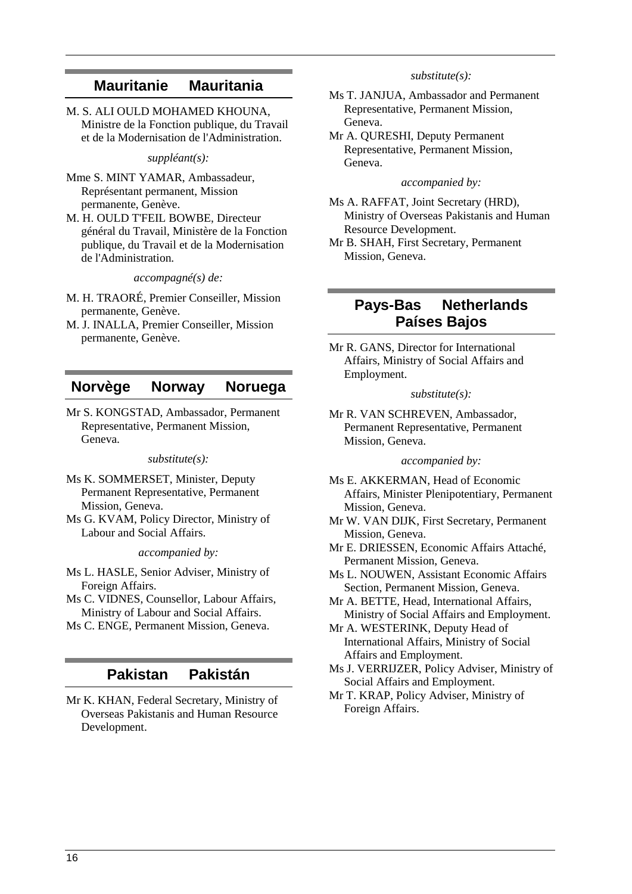## **Mauritanie Mauritania**

M. S. ALI OULD MOHAMED KHOUNA, Ministre de la Fonction publique, du Travail et de la Modernisation de l'Administration.

*suppléant(s):*

- Mme S. MINT YAMAR, Ambassadeur, Représentant permanent, Mission permanente, Genève.
- M. H. OULD T'FEIL BOWBE, Directeur général du Travail, Ministère de la Fonction publique, du Travail et de la Modernisation de l'Administration.

*accompagné(s) de:*

- M. H. TRAORÉ, Premier Conseiller, Mission permanente, Genève.
- M. J. INALLA, Premier Conseiller, Mission permanente, Genève.

### **Norvège Norway Noruega**

Mr S. KONGSTAD, Ambassador, Permanent Representative, Permanent Mission, Geneva.

#### *substitute(s):*

- Ms K. SOMMERSET, Minister, Deputy Permanent Representative, Permanent Mission, Geneva.
- Ms G. KVAM, Policy Director, Ministry of Labour and Social Affairs.

*accompanied by:*

- Ms L. HASLE, Senior Adviser, Ministry of Foreign Affairs.
- Ms C. VIDNES, Counsellor, Labour Affairs, Ministry of Labour and Social Affairs.
- Ms C. ENGE, Permanent Mission, Geneva.

## **Pakistan Pakistán**

Mr K. KHAN, Federal Secretary, Ministry of Overseas Pakistanis and Human Resource Development.

#### *substitute(s):*

- Ms T. JANJUA, Ambassador and Permanent Representative, Permanent Mission, Geneva.
- Mr A. QURESHI, Deputy Permanent Representative, Permanent Mission, Geneva.

#### *accompanied by:*

- Ms A. RAFFAT, Joint Secretary (HRD), Ministry of Overseas Pakistanis and Human Resource Development.
- Mr B. SHAH, First Secretary, Permanent Mission, Geneva.

## **Pays-Bas Netherlands Países Bajos**

Mr R. GANS, Director for International Affairs, Ministry of Social Affairs and Employment.

#### *substitute(s):*

Mr R. VAN SCHREVEN, Ambassador, Permanent Representative, Permanent Mission, Geneva.

#### *accompanied by:*

- Ms E. AKKERMAN, Head of Economic Affairs, Minister Plenipotentiary, Permanent Mission, Geneva.
- Mr W. VAN DIJK, First Secretary, Permanent Mission, Geneva.
- Mr E. DRIESSEN, Economic Affairs Attaché, Permanent Mission, Geneva.
- Ms L. NOUWEN, Assistant Economic Affairs Section, Permanent Mission, Geneva.
- Mr A. BETTE, Head, International Affairs, Ministry of Social Affairs and Employment.
- Mr A. WESTERINK, Deputy Head of International Affairs, Ministry of Social Affairs and Employment.
- Ms J. VERRIJZER, Policy Adviser, Ministry of Social Affairs and Employment.
- Mr T. KRAP, Policy Adviser, Ministry of Foreign Affairs.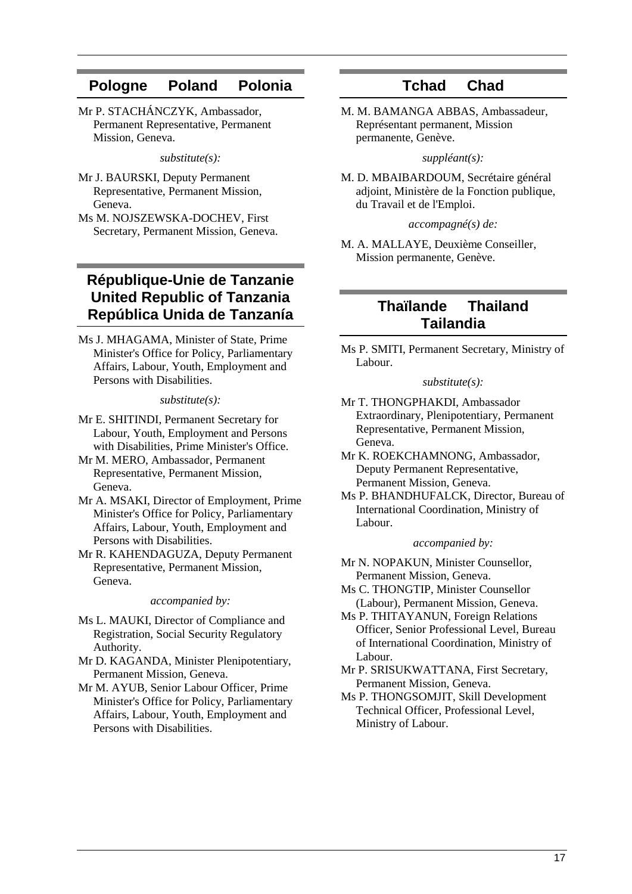## **Pologne Poland Polonia**

Mr P. STACHÁNCZYK, Ambassador, Permanent Representative, Permanent Mission, Geneva.

*substitute(s):*

- Mr J. BAURSKI, Deputy Permanent Representative, Permanent Mission, Geneva.
- Ms M. NOJSZEWSKA-DOCHEV, First Secretary, Permanent Mission, Geneva.

## **République-Unie de Tanzanie United Republic of Tanzania República Unida de Tanzanía**

Ms J. MHAGAMA, Minister of State, Prime Minister's Office for Policy, Parliamentary Affairs, Labour, Youth, Employment and Persons with Disabilities.

*substitute(s):*

- Mr E. SHITINDI, Permanent Secretary for Labour, Youth, Employment and Persons with Disabilities, Prime Minister's Office.
- Mr M. MERO, Ambassador, Permanent Representative, Permanent Mission, Geneva.
- Mr A. MSAKI, Director of Employment, Prime Minister's Office for Policy, Parliamentary Affairs, Labour, Youth, Employment and Persons with Disabilities.
- Mr R. KAHENDAGUZA, Deputy Permanent Representative, Permanent Mission, Geneva.

#### *accompanied by:*

- Ms L. MAUKI, Director of Compliance and Registration, Social Security Regulatory Authority.
- Mr D. KAGANDA, Minister Plenipotentiary, Permanent Mission, Geneva.
- Mr M. AYUB, Senior Labour Officer, Prime Minister's Office for Policy, Parliamentary Affairs, Labour, Youth, Employment and Persons with Disabilities.

### **Tchad Chad**

M. M. BAMANGA ABBAS, Ambassadeur, Représentant permanent, Mission permanente, Genève.

#### *suppléant(s):*

M. D. MBAIBARDOUM, Secrétaire général adjoint, Ministère de la Fonction publique, du Travail et de l'Emploi.

#### *accompagné(s) de:*

M. A. MALLAYE, Deuxième Conseiller, Mission permanente, Genève.

## **Thaïlande Thailand Tailandia**

Ms P. SMITI, Permanent Secretary, Ministry of Labour.

#### *substitute(s):*

- Mr T. THONGPHAKDI, Ambassador Extraordinary, Plenipotentiary, Permanent Representative, Permanent Mission, Geneva.
- Mr K. ROEKCHAMNONG, Ambassador, Deputy Permanent Representative, Permanent Mission, Geneva.
- Ms P. BHANDHUFALCK, Director, Bureau of International Coordination, Ministry of Labour.

#### *accompanied by:*

- Mr N. NOPAKUN, Minister Counsellor, Permanent Mission, Geneva.
- Ms C. THONGTIP, Minister Counsellor (Labour), Permanent Mission, Geneva.
- Ms P. THITAYANUN, Foreign Relations Officer, Senior Professional Level, Bureau of International Coordination, Ministry of Labour.
- Mr P. SRISUKWATTANA, First Secretary, Permanent Mission, Geneva.
- Ms P. THONGSOMJIT, Skill Development Technical Officer, Professional Level, Ministry of Labour.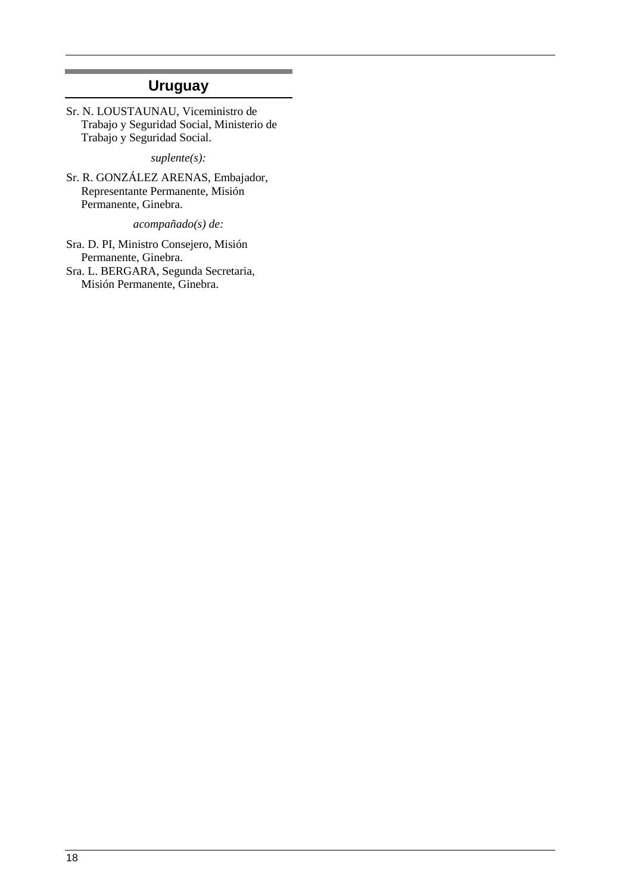## **Uruguay**

Sr. N. LOUSTAUNAU, Viceministro de Trabajo y Seguridad Social, Ministerio de Trabajo y Seguridad Social.

*suplente(s):*

Sr. R. GONZÁLEZ ARENAS, Embajador, Representante Permanente, Misión Permanente, Ginebra.

*acompañado(s) de:*

Sra. D. PI, Ministro Consejero, Misión Permanente, Ginebra. Sra. L. BERGARA, Segunda Secretaria, Misión Permanente, Ginebra.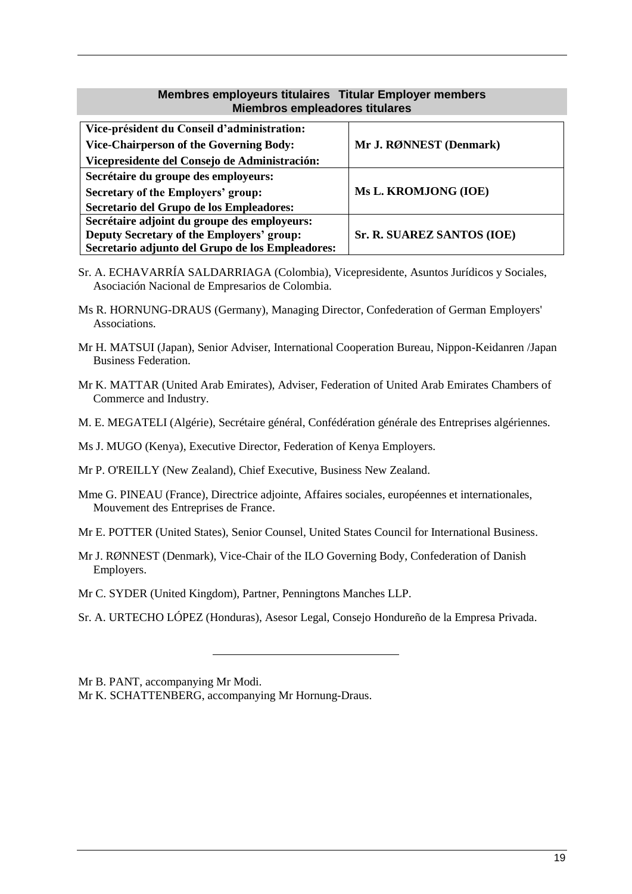### **Membres employeurs titulaires Titular Employer members Miembros empleadores titulares**

<span id="page-18-0"></span>

| Vice-président du Conseil d'administration:      |                            |
|--------------------------------------------------|----------------------------|
| <b>Vice-Chairperson of the Governing Body:</b>   | Mr J. RØNNEST (Denmark)    |
| Vicepresidente del Consejo de Administración:    |                            |
| Secrétaire du groupe des employeurs:             |                            |
| Secretary of the Employers' group:               | Ms L. KROMJONG (IOE)       |
| Secretario del Grupo de los Empleadores:         |                            |
| Secrétaire adjoint du groupe des employeurs:     |                            |
| Deputy Secretary of the Employers' group:        | Sr. R. SUAREZ SANTOS (IOE) |
| Secretario adjunto del Grupo de los Empleadores: |                            |

- Sr. A. ECHAVARRÍA SALDARRIAGA (Colombia), Vicepresidente, Asuntos Jurídicos y Sociales, Asociación Nacional de Empresarios de Colombia.
- Ms R. HORNUNG-DRAUS (Germany), Managing Director, Confederation of German Employers' Associations.
- Mr H. MATSUI (Japan), Senior Adviser, International Cooperation Bureau, Nippon-Keidanren /Japan Business Federation.
- Mr K. MATTAR (United Arab Emirates), Adviser, Federation of United Arab Emirates Chambers of Commerce and Industry.
- M. E. MEGATELI (Algérie), Secrétaire général, Confédération générale des Entreprises algériennes.
- Ms J. MUGO (Kenya), Executive Director, Federation of Kenya Employers.
- Mr P. O'REILLY (New Zealand), Chief Executive, Business New Zealand.
- Mme G. PINEAU (France), Directrice adjointe, Affaires sociales, européennes et internationales, Mouvement des Entreprises de France.
- Mr E. POTTER (United States), Senior Counsel, United States Council for International Business.
- Mr J. RØNNEST (Denmark), Vice-Chair of the ILO Governing Body, Confederation of Danish Employers.

Mr C. SYDER (United Kingdom), Partner, Penningtons Manches LLP.

Sr. A. URTECHO LÓPEZ (Honduras), Asesor Legal, Consejo Hondureño de la Empresa Privada.

Mr B. PANT, accompanying Mr Modi.

Mr K. SCHATTENBERG, accompanying Mr Hornung-Draus.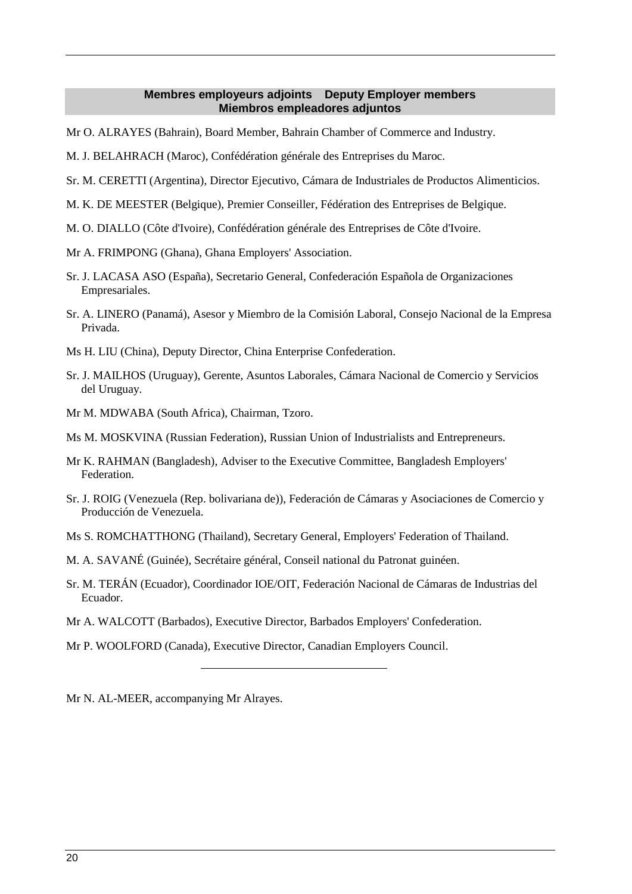#### **Membres employeurs adjoints Deputy Employer members Miembros empleadores adjuntos**

- <span id="page-19-0"></span>Mr O. ALRAYES (Bahrain), Board Member, Bahrain Chamber of Commerce and Industry.
- M. J. BELAHRACH (Maroc), Confédération générale des Entreprises du Maroc.
- Sr. M. CERETTI (Argentina), Director Ejecutivo, Cámara de Industriales de Productos Alimenticios.
- M. K. DE MEESTER (Belgique), Premier Conseiller, Fédération des Entreprises de Belgique.
- M. O. DIALLO (Côte d'Ivoire), Confédération générale des Entreprises de Côte d'Ivoire.
- Mr A. FRIMPONG (Ghana), Ghana Employers' Association.
- Sr. J. LACASA ASO (España), Secretario General, Confederación Española de Organizaciones Empresariales.
- Sr. A. LINERO (Panamá), Asesor y Miembro de la Comisión Laboral, Consejo Nacional de la Empresa Privada.
- Ms H. LIU (China), Deputy Director, China Enterprise Confederation.
- Sr. J. MAILHOS (Uruguay), Gerente, Asuntos Laborales, Cámara Nacional de Comercio y Servicios del Uruguay.
- Mr M. MDWABA (South Africa), Chairman, Tzoro.
- Ms M. MOSKVINA (Russian Federation), Russian Union of Industrialists and Entrepreneurs.
- Mr K. RAHMAN (Bangladesh), Adviser to the Executive Committee, Bangladesh Employers' **Federation**
- Sr. J. ROIG (Venezuela (Rep. bolivariana de)), Federación de Cámaras y Asociaciones de Comercio y Producción de Venezuela.
- Ms S. ROMCHATTHONG (Thailand), Secretary General, Employers' Federation of Thailand.
- M. A. SAVANÉ (Guinée), Secrétaire général, Conseil national du Patronat guinéen.
- Sr. M. TERÁN (Ecuador), Coordinador IOE/OIT, Federación Nacional de Cámaras de Industrias del Ecuador.
- Mr A. WALCOTT (Barbados), Executive Director, Barbados Employers' Confederation.
- Mr P. WOOLFORD (Canada), Executive Director, Canadian Employers Council.

Mr N. AL-MEER, accompanying Mr Alrayes.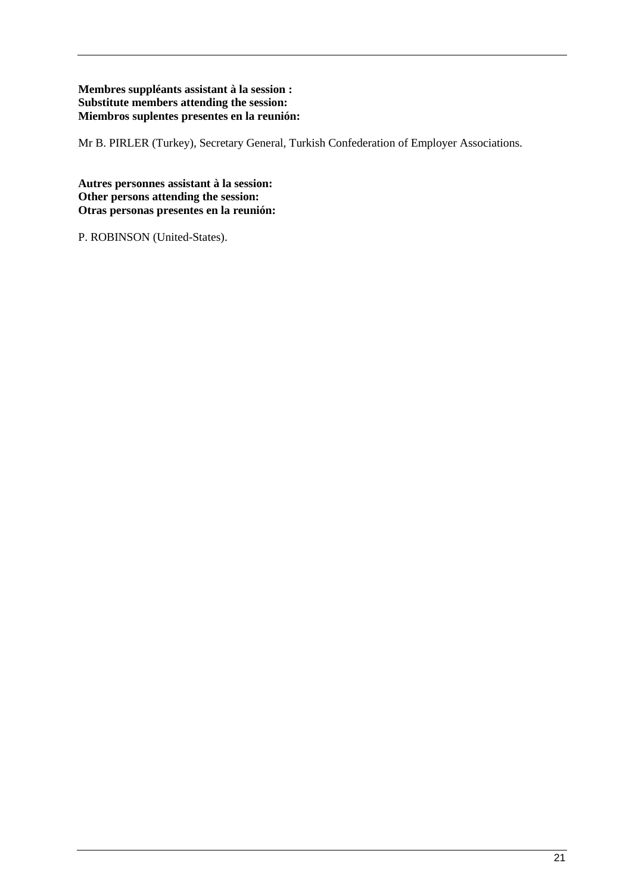### **Membres suppléants assistant à la session : Substitute members attending the session: Miembros suplentes presentes en la reunión:**

Mr B. PIRLER (Turkey), Secretary General, Turkish Confederation of Employer Associations.

**Autres personnes assistant à la session: Other persons attending the session: Otras personas presentes en la reunión:**

P. ROBINSON (United-States).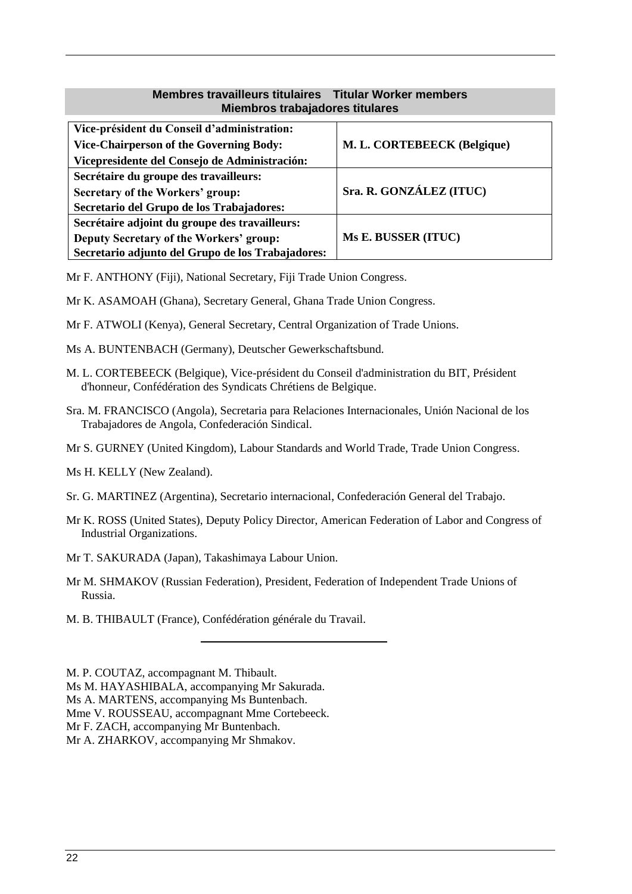### **Membres travailleurs titulaires Titular Worker members Miembros trabajadores titulares**

<span id="page-21-0"></span>

| Vice-président du Conseil d'administration:       |                             |
|---------------------------------------------------|-----------------------------|
| <b>Vice-Chairperson of the Governing Body:</b>    | M. L. CORTEBEECK (Belgique) |
| Vicepresidente del Consejo de Administración:     |                             |
| Secrétaire du groupe des travailleurs:            |                             |
| Secretary of the Workers' group:                  | Sra. R. GONZÁLEZ (ITUC)     |
| Secretario del Grupo de los Trabajadores:         |                             |
| Secrétaire adjoint du groupe des travailleurs:    |                             |
| Deputy Secretary of the Workers' group:           | Ms E. BUSSER (ITUC)         |
| Secretario adjunto del Grupo de los Trabajadores: |                             |

Mr F. ANTHONY (Fiji), National Secretary, Fiji Trade Union Congress.

- Mr K. ASAMOAH (Ghana), Secretary General, Ghana Trade Union Congress.
- Mr F. ATWOLI (Kenya), General Secretary, Central Organization of Trade Unions.
- Ms A. BUNTENBACH (Germany), Deutscher Gewerkschaftsbund.
- M. L. CORTEBEECK (Belgique), Vice-président du Conseil d'administration du BIT, Président d'honneur, Confédération des Syndicats Chrétiens de Belgique.
- Sra. M. FRANCISCO (Angola), Secretaria para Relaciones Internacionales, Unión Nacional de los Trabajadores de Angola, Confederación Sindical.
- Mr S. GURNEY (United Kingdom), Labour Standards and World Trade, Trade Union Congress.
- Ms H. KELLY (New Zealand).
- Sr. G. MARTINEZ (Argentina), Secretario internacional, Confederación General del Trabajo.
- Mr K. ROSS (United States), Deputy Policy Director, American Federation of Labor and Congress of Industrial Organizations.
- Mr T. SAKURADA (Japan), Takashimaya Labour Union.
- Mr M. SHMAKOV (Russian Federation), President, Federation of Independent Trade Unions of Russia.
- M. B. THIBAULT (France), Confédération générale du Travail.

M. P. COUTAZ, accompagnant M. Thibault.

Ms M. HAYASHIBALA, accompanying Mr Sakurada.

Ms A. MARTENS, accompanying Ms Buntenbach.

Mme V. ROUSSEAU, accompagnant Mme Cortebeeck.

Mr F. ZACH, accompanying Mr Buntenbach.

Mr A. ZHARKOV, accompanying Mr Shmakov.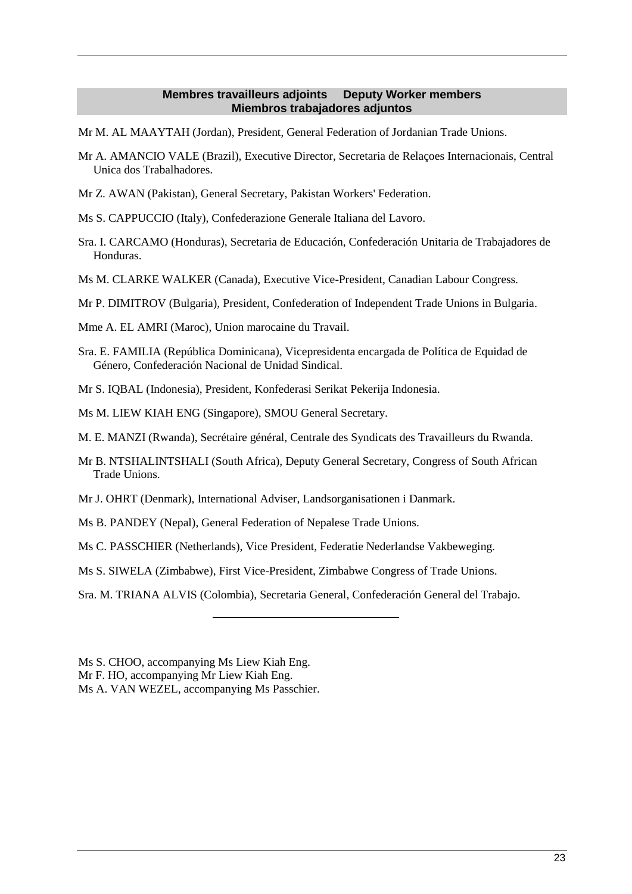#### **Membres travailleurs adjoints Deputy Worker members Miembros trabajadores adjuntos**

<span id="page-22-0"></span>Mr M. AL MAAYTAH (Jordan), President, General Federation of Jordanian Trade Unions.

- Mr A. AMANCIO VALE (Brazil), Executive Director, Secretaria de Relaçoes Internacionais, Central Unica dos Trabalhadores.
- Mr Z. AWAN (Pakistan), General Secretary, Pakistan Workers' Federation.
- Ms S. CAPPUCCIO (Italy), Confederazione Generale Italiana del Lavoro.
- Sra. I. CARCAMO (Honduras), Secretaria de Educación, Confederación Unitaria de Trabajadores de Honduras.
- Ms M. CLARKE WALKER (Canada), Executive Vice-President, Canadian Labour Congress.
- Mr P. DIMITROV (Bulgaria), President, Confederation of Independent Trade Unions in Bulgaria.

Mme A. EL AMRI (Maroc), Union marocaine du Travail.

Sra. E. FAMILIA (República Dominicana), Vicepresidenta encargada de Política de Equidad de Género, Confederación Nacional de Unidad Sindical.

Mr S. IQBAL (Indonesia), President, Konfederasi Serikat Pekerija Indonesia.

Ms M. LIEW KIAH ENG (Singapore), SMOU General Secretary.

- M. E. MANZI (Rwanda), Secrétaire général, Centrale des Syndicats des Travailleurs du Rwanda.
- Mr B. NTSHALINTSHALI (South Africa), Deputy General Secretary, Congress of South African Trade Unions.
- Mr J. OHRT (Denmark), International Adviser, Landsorganisationen i Danmark.
- Ms B. PANDEY (Nepal), General Federation of Nepalese Trade Unions.
- Ms C. PASSCHIER (Netherlands), Vice President, Federatie Nederlandse Vakbeweging.
- Ms S. SIWELA (Zimbabwe), First Vice-President, Zimbabwe Congress of Trade Unions.

Sra. M. TRIANA ALVIS (Colombia), Secretaria General, Confederación General del Trabajo.

Ms S. CHOO, accompanying Ms Liew Kiah Eng.

Mr F. HO, accompanying Mr Liew Kiah Eng.

Ms A. VAN WEZEL, accompanying Ms Passchier.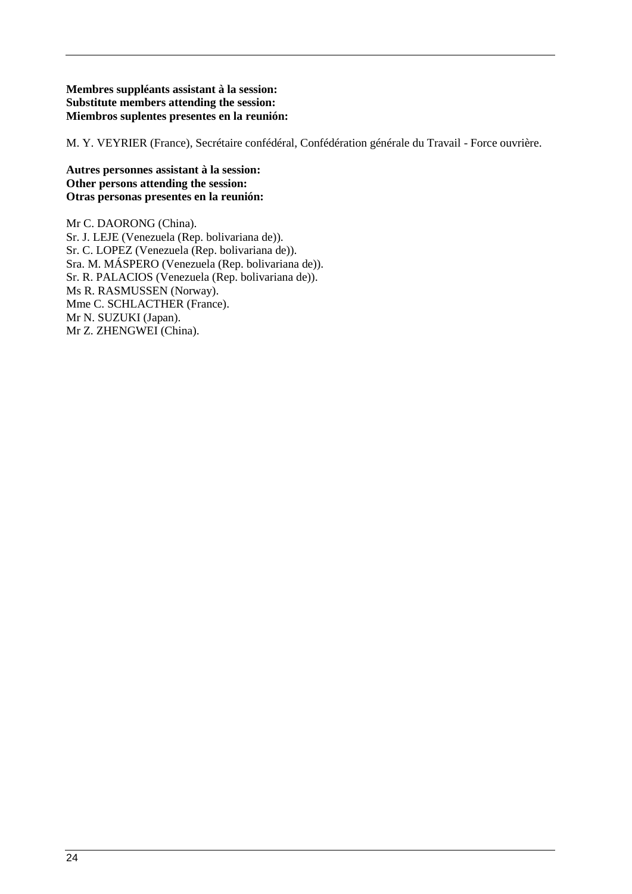#### **Membres suppléants assistant à la session: Substitute members attending the session: Miembros suplentes presentes en la reunión:**

M. Y. VEYRIER (France), Secrétaire confédéral, Confédération générale du Travail - Force ouvrière.

#### **Autres personnes assistant à la session: Other persons attending the session: Otras personas presentes en la reunión:**

Mr C. DAORONG (China). Sr. J. LEJE (Venezuela (Rep. bolivariana de)). Sr. C. LOPEZ (Venezuela (Rep. bolivariana de)). Sra. M. MÁSPERO (Venezuela (Rep. bolivariana de)). Sr. R. PALACIOS (Venezuela (Rep. bolivariana de)). Ms R. RASMUSSEN (Norway). Mme C. SCHLACTHER (France). Mr N. SUZUKI (Japan). Mr Z. ZHENGWEI (China).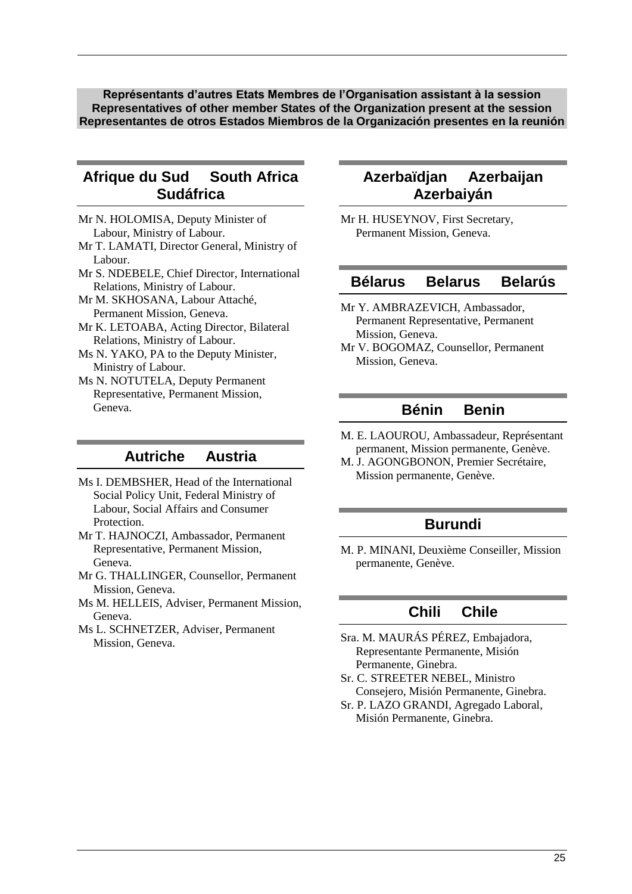<span id="page-24-0"></span>**Représentants d'autres Etats Membres de l'Organisation assistant à la session Representatives of other member States of the Organization present at the session Representantes de otros Estados Miembros de la Organización presentes en la reunión**

## **Afrique du Sud South Africa Sudáfrica**

- Mr N. HOLOMISA, Deputy Minister of Labour, Ministry of Labour.
- Mr T. LAMATI, Director General, Ministry of Labour.
- Mr S. NDEBELE, Chief Director, International Relations, Ministry of Labour.
- Mr M. SKHOSANA, Labour Attaché, Permanent Mission, Geneva.
- Mr K. LETOABA, Acting Director, Bilateral Relations, Ministry of Labour.
- Ms N. YAKO, PA to the Deputy Minister, Ministry of Labour.
- Ms N. NOTUTELA, Deputy Permanent Representative, Permanent Mission, Geneva.

## **Autriche Austria**

- Ms I. DEMBSHER, Head of the International Social Policy Unit, Federal Ministry of Labour, Social Affairs and Consumer **Protection**
- Mr T. HAJNOCZI, Ambassador, Permanent Representative, Permanent Mission, Geneva.
- Mr G. THALLINGER, Counsellor, Permanent Mission, Geneva.
- Ms M. HELLEIS, Adviser, Permanent Mission, Geneva.
- Ms L. SCHNETZER, Adviser, Permanent Mission, Geneva.

## **Azerbaïdjan Azerbaijan Azerbaiyán**

Mr H. HUSEYNOV, First Secretary, Permanent Mission, Geneva.

### **Bélarus Belarus Belarús**

- Mr Y. AMBRAZEVICH, Ambassador, Permanent Representative, Permanent Mission, Geneva.
- Mr V. BOGOMAZ, Counsellor, Permanent Mission, Geneva.

## **Bénin Benin**

- M. E. LAOUROU, Ambassadeur, Représentant permanent, Mission permanente, Genève.
- M. J. AGONGBONON, Premier Secrétaire, Mission permanente, Genève.

### **Burundi**

M. P. MINANI, Deuxième Conseiller, Mission permanente, Genève.

## **Chili Chile**

- Sra. M. MAURÁS PÉREZ, Embajadora, Representante Permanente, Misión Permanente, Ginebra.
- Sr. C. STREETER NEBEL, Ministro Consejero, Misión Permanente, Ginebra.
- Sr. P. LAZO GRANDI, Agregado Laboral, Misión Permanente, Ginebra.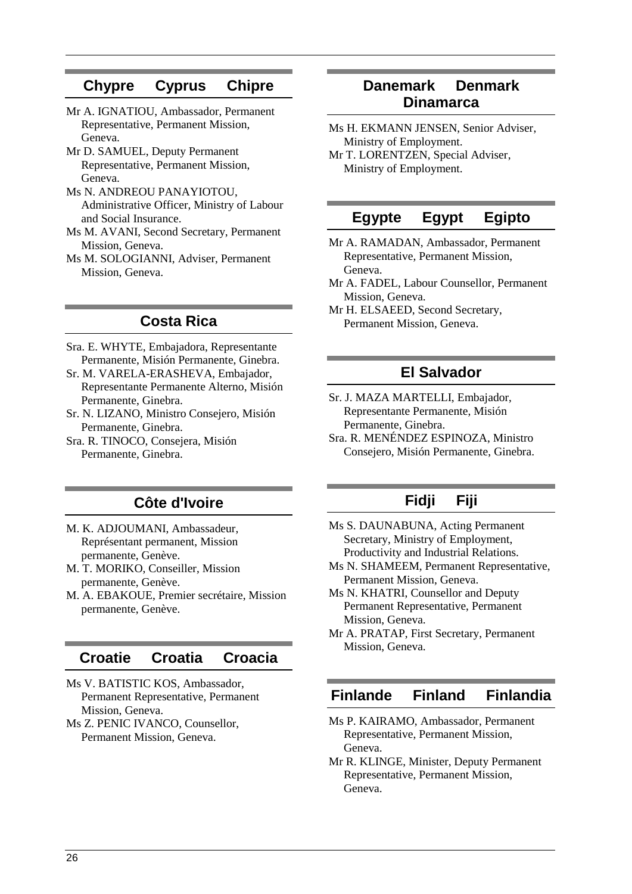## **Chypre Cyprus Chipre**

- Mr A. IGNATIOU, Ambassador, Permanent Representative, Permanent Mission, Geneva.
- Mr D. SAMUEL, Deputy Permanent Representative, Permanent Mission, Geneva.
- Ms N. ANDREOU PANAYIOTOU, Administrative Officer, Ministry of Labour and Social Insurance.
- Ms M. AVANI, Second Secretary, Permanent Mission, Geneva.
- Ms M. SOLOGIANNI, Adviser, Permanent Mission, Geneva.

## **Costa Rica**

- Sra. E. WHYTE, Embajadora, Representante Permanente, Misión Permanente, Ginebra.
- Sr. M. VARELA-ERASHEVA, Embajador, Representante Permanente Alterno, Misión Permanente, Ginebra.
- Sr. N. LIZANO, Ministro Consejero, Misión Permanente, Ginebra.
- Sra. R. TINOCO, Consejera, Misión Permanente, Ginebra.

## **Côte d'Ivoire**

- M. K. ADJOUMANI, Ambassadeur, Représentant permanent, Mission permanente, Genève.
- M. T. MORIKO, Conseiller, Mission permanente, Genève.
- M. A. EBAKOUE, Premier secrétaire, Mission permanente, Genève.

### **Croatie Croatia Croacia**

- Ms V. BATISTIC KOS, Ambassador, Permanent Representative, Permanent Mission, Geneva.
- Ms Z. PENIC IVANCO, Counsellor, Permanent Mission, Geneva.

### **Danemark Denmark Dinamarca**

- Ms H. EKMANN JENSEN, Senior Adviser, Ministry of Employment.
- Mr T. LORENTZEN, Special Adviser, Ministry of Employment.

### **Egypte Egypt Egipto**

- Mr A. RAMADAN, Ambassador, Permanent Representative, Permanent Mission, Geneva.
- Mr A. FADEL, Labour Counsellor, Permanent Mission, Geneva.
- Mr H. ELSAEED, Second Secretary, Permanent Mission, Geneva.

### **El Salvador**

- Sr. J. MAZA MARTELLI, Embajador, Representante Permanente, Misión Permanente, Ginebra.
- Sra. R. MENÉNDEZ ESPINOZA, Ministro Consejero, Misión Permanente, Ginebra.

## **Fidji Fiji**

- Ms S. DAUNABUNA, Acting Permanent Secretary, Ministry of Employment, Productivity and Industrial Relations.
- Ms N. SHAMEEM, Permanent Representative, Permanent Mission, Geneva.

Ms N. KHATRI, Counsellor and Deputy Permanent Representative, Permanent Mission, Geneva.

Mr A. PRATAP, First Secretary, Permanent Mission, Geneva.

## **Finlande Finland Finlandia**

- Ms P. KAIRAMO, Ambassador, Permanent Representative, Permanent Mission, Geneva.
- Mr R. KLINGE, Minister, Deputy Permanent Representative, Permanent Mission, Geneva.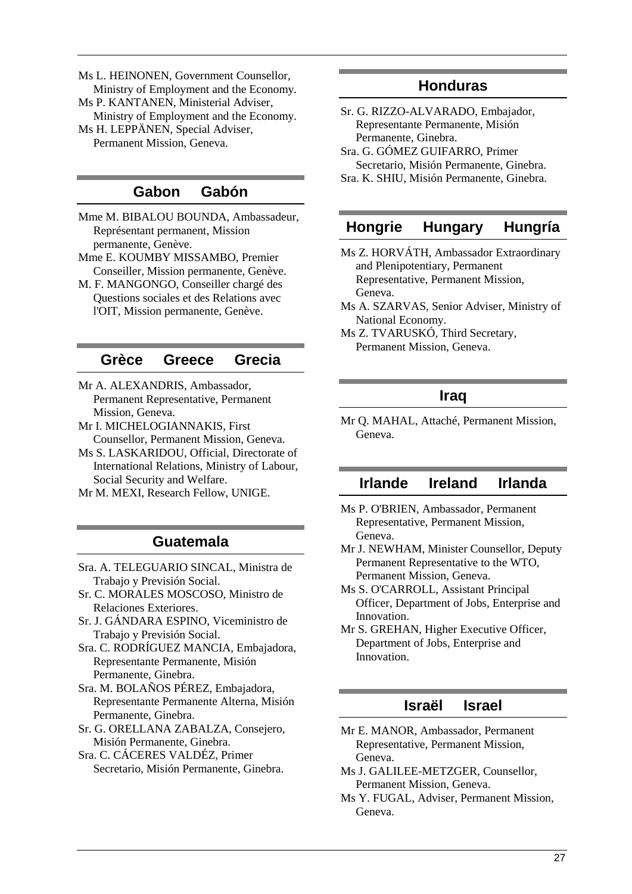Ms L. HEINONEN, Government Counsellor, Ministry of Employment and the Economy. Ms P. KANTANEN, Ministerial Adviser, Ministry of Employment and the Economy. Ms H. LEPPÄNEN, Special Adviser, Permanent Mission, Geneva.

### **Gabon Gabón**

Mme M. BIBALOU BOUNDA, Ambassadeur, Représentant permanent, Mission permanente, Genève.

- Mme E. KOUMBY MISSAMBO, Premier Conseiller, Mission permanente, Genève.
- M. F. MANGONGO, Conseiller chargé des Questions sociales et des Relations avec l'OIT, Mission permanente, Genève.

### **Grèce Greece Grecia**

- Mr A. ALEXANDRIS, Ambassador, Permanent Representative, Permanent Mission, Geneva.
- Mr I. MICHELOGIANNAKIS, First Counsellor, Permanent Mission, Geneva.
- Ms S. LASKARIDOU, Official, Directorate of International Relations, Ministry of Labour, Social Security and Welfare.
- Mr M. MEXI, Research Fellow, UNIGE.

### **Guatemala**

- Sra. A. TELEGUARIO SINCAL, Ministra de Trabajo y Previsión Social.
- Sr. C. MORALES MOSCOSO, Ministro de Relaciones Exteriores.
- Sr. J. GÁNDARA ESPINO, Viceministro de Trabajo y Previsión Social.
- Sra. C. RODRÍGUEZ MANCIA, Embajadora, Representante Permanente, Misión Permanente, Ginebra.
- Sra. M. BOLAÑOS PÉREZ, Embajadora, Representante Permanente Alterna, Misión Permanente, Ginebra.
- Sr. G. ORELLANA ZABALZA, Consejero, Misión Permanente, Ginebra.
- Sra. C. CÁCERES VALDÉZ, Primer Secretario, Misión Permanente, Ginebra.

### **Honduras**

- Sr. G. RIZZO-ALVARADO, Embajador, Representante Permanente, Misión Permanente, Ginebra. Sra. G. GÓMEZ GUIFARRO, Primer
- Secretario, Misión Permanente, Ginebra. Sra. K. SHIU, Misión Permanente, Ginebra.

### **Hongrie Hungary Hungría**

Ms Z. HORVÁTH, Ambassador Extraordinary and Plenipotentiary, Permanent Representative, Permanent Mission, Geneva.

- Ms A. SZARVAS, Senior Adviser, Ministry of National Economy.
- Ms Z. TVARUSKÓ, Third Secretary, Permanent Mission, Geneva.

## **Iraq**

Mr Q. MAHAL, Attaché, Permanent Mission, Geneva.

### **Irlande Ireland Irlanda**

- Ms P. O'BRIEN, Ambassador, Permanent Representative, Permanent Mission, Geneva.
- Mr J. NEWHAM, Minister Counsellor, Deputy Permanent Representative to the WTO, Permanent Mission, Geneva.
- Ms S. O'CARROLL, Assistant Principal Officer, Department of Jobs, Enterprise and Innovation.
- Mr S. GREHAN, Higher Executive Officer, Department of Jobs, Enterprise and Innovation.

### **Israël Israel**

- Mr E. MANOR, Ambassador, Permanent Representative, Permanent Mission, Geneva.
- Ms J. GALILEE-METZGER, Counsellor, Permanent Mission, Geneva.
- Ms Y. FUGAL, Adviser, Permanent Mission, Geneva.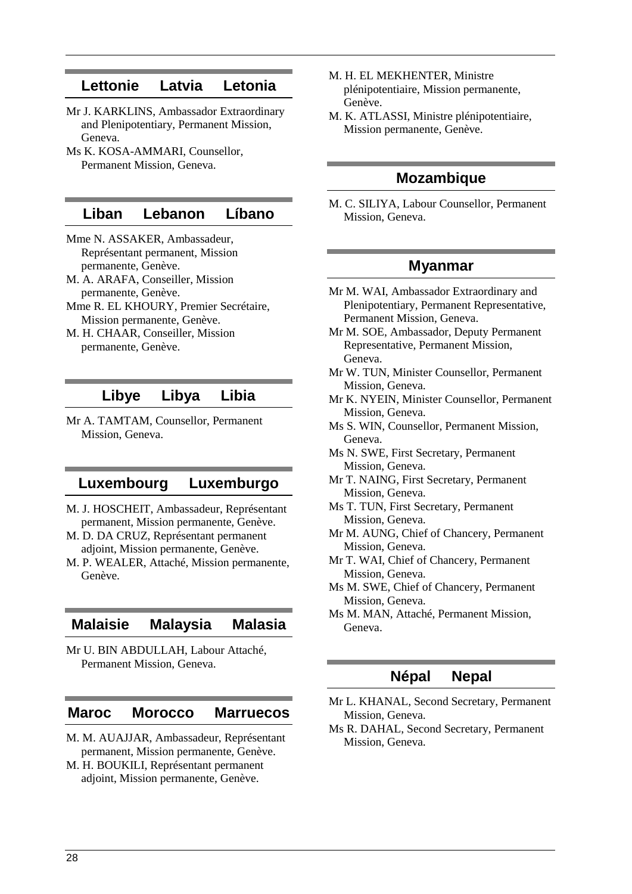### **Lettonie Latvia Letonia**

- Mr J. KARKLINS, Ambassador Extraordinary and Plenipotentiary, Permanent Mission, Geneva.
- Ms K. KOSA-AMMARI, Counsellor, Permanent Mission, Geneva.

### **Liban Lebanon Líbano**

- Mme N. ASSAKER, Ambassadeur, Représentant permanent, Mission permanente, Genève.
- M. A. ARAFA, Conseiller, Mission permanente, Genève.
- Mme R. EL KHOURY, Premier Secrétaire, Mission permanente, Genève.
- M. H. CHAAR, Conseiller, Mission permanente, Genève.

### **Libye Libya Libia**

Mr A. TAMTAM, Counsellor, Permanent Mission, Geneva.

### **Luxembourg Luxemburgo**

- M. J. HOSCHEIT, Ambassadeur, Représentant permanent, Mission permanente, Genève.
- M. D. DA CRUZ, Représentant permanent adjoint, Mission permanente, Genève.
- M. P. WEALER, Attaché, Mission permanente, Genève.

### **Malaisie Malaysia Malasia**

Mr U. BIN ABDULLAH, Labour Attaché, Permanent Mission, Geneva.

#### **Maroc Morocco Marruecos**

- M. M. AUAJJAR, Ambassadeur, Représentant permanent, Mission permanente, Genève.
- M. H. BOUKILI, Représentant permanent adjoint, Mission permanente, Genève.
- M. H. EL MEKHENTER, Ministre plénipotentiaire, Mission permanente, Genève.
- M. K. ATLASSI, Ministre plénipotentiaire, Mission permanente, Genève.

### **Mozambique**

M. C. SILIYA, Labour Counsellor, Permanent Mission, Geneva.

### **Myanmar**

- Mr M. WAI, Ambassador Extraordinary and Plenipotentiary, Permanent Representative, Permanent Mission, Geneva.
- Mr M. SOE, Ambassador, Deputy Permanent Representative, Permanent Mission, Geneva.
- Mr W. TUN, Minister Counsellor, Permanent Mission, Geneva.
- Mr K. NYEIN, Minister Counsellor, Permanent Mission, Geneva.
- Ms S. WIN, Counsellor, Permanent Mission, Geneva.
- Ms N. SWE, First Secretary, Permanent Mission, Geneva.
- Mr T. NAING, First Secretary, Permanent Mission, Geneva.
- Ms T. TUN, First Secretary, Permanent Mission, Geneva.
- Mr M. AUNG, Chief of Chancery, Permanent Mission, Geneva.
- Mr T. WAI, Chief of Chancery, Permanent Mission, Geneva.
- Ms M. SWE, Chief of Chancery, Permanent Mission, Geneva.
- Ms M. MAN, Attaché, Permanent Mission, Geneva.

### **Népal Nepal**

- Mr L. KHANAL, Second Secretary, Permanent Mission, Geneva.
- Ms R. DAHAL, Second Secretary, Permanent Mission, Geneva.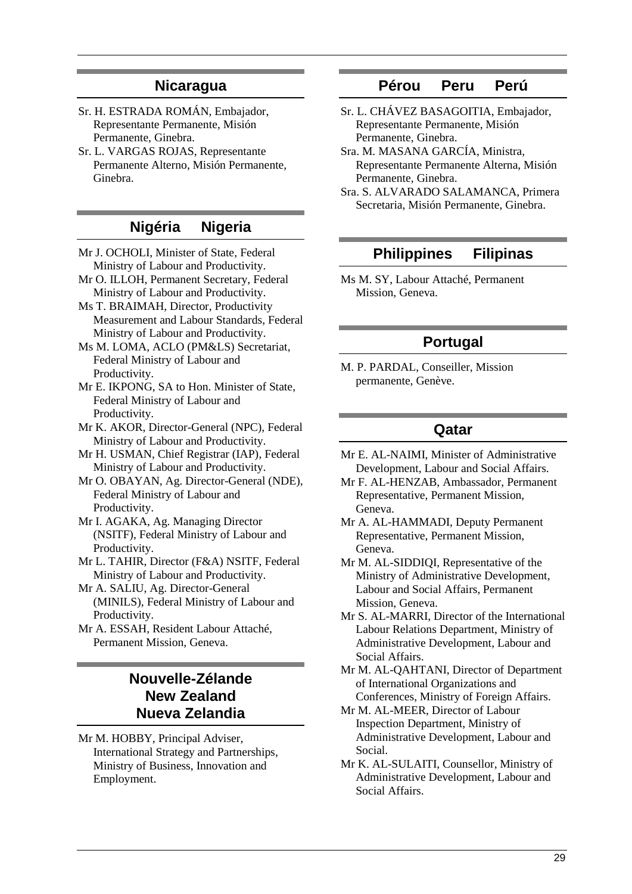### **Nicaragua**

- Sr. H. ESTRADA ROMÁN, Embajador, Representante Permanente, Misión Permanente, Ginebra.
- Sr. L. VARGAS ROJAS, Representante Permanente Alterno, Misión Permanente, Ginebra.

## **Nigéria Nigeria**

- Mr J. OCHOLI, Minister of State, Federal Ministry of Labour and Productivity.
- Mr O. ILLOH, Permanent Secretary, Federal Ministry of Labour and Productivity.
- Ms T. BRAIMAH, Director, Productivity Measurement and Labour Standards, Federal Ministry of Labour and Productivity.
- Ms M. LOMA, ACLO (PM&LS) Secretariat, Federal Ministry of Labour and Productivity.
- Mr E. IKPONG, SA to Hon. Minister of State, Federal Ministry of Labour and Productivity.
- Mr K. AKOR, Director-General (NPC), Federal Ministry of Labour and Productivity.
- Mr H. USMAN, Chief Registrar (IAP), Federal Ministry of Labour and Productivity.
- Mr O. OBAYAN, Ag. Director-General (NDE), Federal Ministry of Labour and Productivity.
- Mr I. AGAKA, Ag. Managing Director (NSITF), Federal Ministry of Labour and Productivity.
- Mr L. TAHIR, Director (F&A) NSITF, Federal Ministry of Labour and Productivity.
- Mr A. SALIU, Ag. Director-General (MINILS), Federal Ministry of Labour and Productivity.
- Mr A. ESSAH, Resident Labour Attaché, Permanent Mission, Geneva.

## **Nouvelle-Zélande New Zealand Nueva Zelandia**

Mr M. HOBBY, Principal Adviser, International Strategy and Partnerships, Ministry of Business, Innovation and Employment.

## **Pérou Peru Perú**

- Sr. L. CHÁVEZ BASAGOITIA, Embajador, Representante Permanente, Misión Permanente, Ginebra.
- Sra. M. MASANA GARCÍA, Ministra, Representante Permanente Alterna, Misión Permanente, Ginebra.
- Sra. S. ALVARADO SALAMANCA, Primera Secretaria, Misión Permanente, Ginebra.

## **Philippines Filipinas**

Ms M. SY, Labour Attaché, Permanent Mission, Geneva.

## **Portugal**

M. P. PARDAL, Conseiller, Mission permanente, Genève.

### **Qatar**

- Mr E. AL-NAIMI, Minister of Administrative Development, Labour and Social Affairs.
- Mr F. AL-HENZAB, Ambassador, Permanent Representative, Permanent Mission, Geneva.
- Mr A. AL-HAMMADI, Deputy Permanent Representative, Permanent Mission, Geneva.
- Mr M. AL-SIDDIQI, Representative of the Ministry of Administrative Development, Labour and Social Affairs, Permanent Mission, Geneva.
- Mr S. AL-MARRI, Director of the International Labour Relations Department, Ministry of Administrative Development, Labour and Social Affairs.
- Mr M. AL-QAHTANI, Director of Department of International Organizations and Conferences, Ministry of Foreign Affairs.
- Mr M. AL-MEER, Director of Labour Inspection Department, Ministry of Administrative Development, Labour and Social.
- Mr K. AL-SULAITI, Counsellor, Ministry of Administrative Development, Labour and Social Affairs.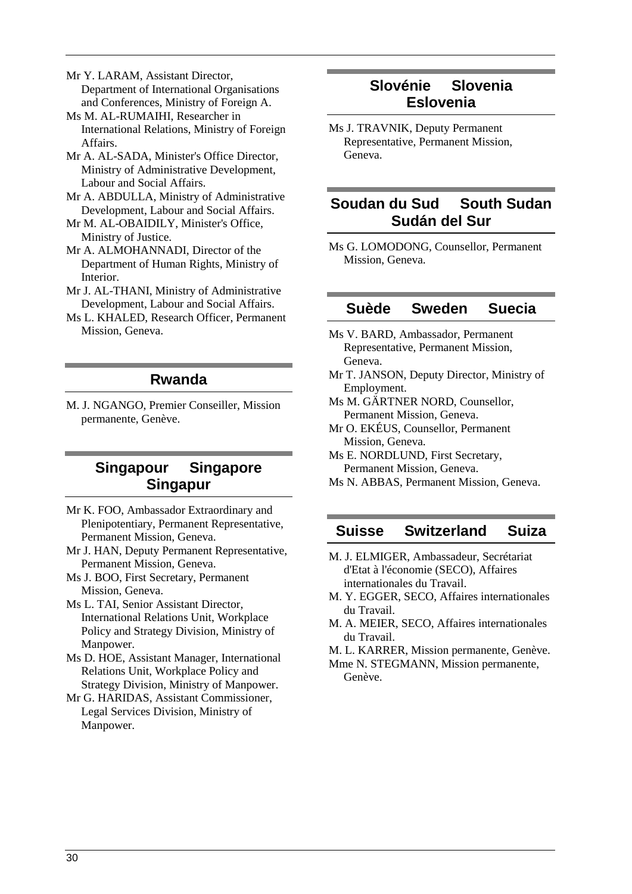Mr Y. LARAM, Assistant Director, Department of International Organisations and Conferences, Ministry of Foreign A.

- Ms M. AL-RUMAIHI, Researcher in International Relations, Ministry of Foreign Affairs.
- Mr A. AL-SADA, Minister's Office Director, Ministry of Administrative Development, Labour and Social Affairs.
- Mr A. ABDULLA, Ministry of Administrative Development, Labour and Social Affairs.
- Mr M. AL-OBAIDILY, Minister's Office, Ministry of Justice.
- Mr A. ALMOHANNADI, Director of the Department of Human Rights, Ministry of Interior.
- Mr J. AL-THANI, Ministry of Administrative Development, Labour and Social Affairs.
- Ms L. KHALED, Research Officer, Permanent Mission, Geneva.

### **Rwanda**

M. J. NGANGO, Premier Conseiller, Mission permanente, Genève.

## **Singapour Singapore Singapur**

- Mr K. FOO, Ambassador Extraordinary and Plenipotentiary, Permanent Representative, Permanent Mission, Geneva.
- Mr J. HAN, Deputy Permanent Representative, Permanent Mission, Geneva.
- Ms J. BOO, First Secretary, Permanent Mission, Geneva.
- Ms L. TAI, Senior Assistant Director, International Relations Unit, Workplace Policy and Strategy Division, Ministry of Manpower.
- Ms D. HOE, Assistant Manager, International Relations Unit, Workplace Policy and Strategy Division, Ministry of Manpower.
- Mr G. HARIDAS, Assistant Commissioner, Legal Services Division, Ministry of Manpower.

## **Slovénie Slovenia Eslovenia**

Ms J. TRAVNIK, Deputy Permanent Representative, Permanent Mission, Geneva.

## **Soudan du Sud South Sudan Sudán del Sur**

Ms G. LOMODONG, Counsellor, Permanent Mission, Geneva.

### **Suède Sweden Suecia**

- Ms V. BARD, Ambassador, Permanent Representative, Permanent Mission, Geneva.
- Mr T. JANSON, Deputy Director, Ministry of Employment.
- Ms M. GÄRTNER NORD, Counsellor, Permanent Mission, Geneva.
- Mr O. EKÉUS, Counsellor, Permanent Mission, Geneva.
- Ms E. NORDLUND, First Secretary, Permanent Mission, Geneva.
- Ms N. ABBAS, Permanent Mission, Geneva.

## **Suisse Switzerland Suiza**

- M. J. ELMIGER, Ambassadeur, Secrétariat d'Etat à l'économie (SECO), Affaires internationales du Travail.
- M. Y. EGGER, SECO, Affaires internationales du Travail.
- M. A. MEIER, SECO, Affaires internationales du Travail.
- M. L. KARRER, Mission permanente, Genève.
- Mme N. STEGMANN, Mission permanente, Genève.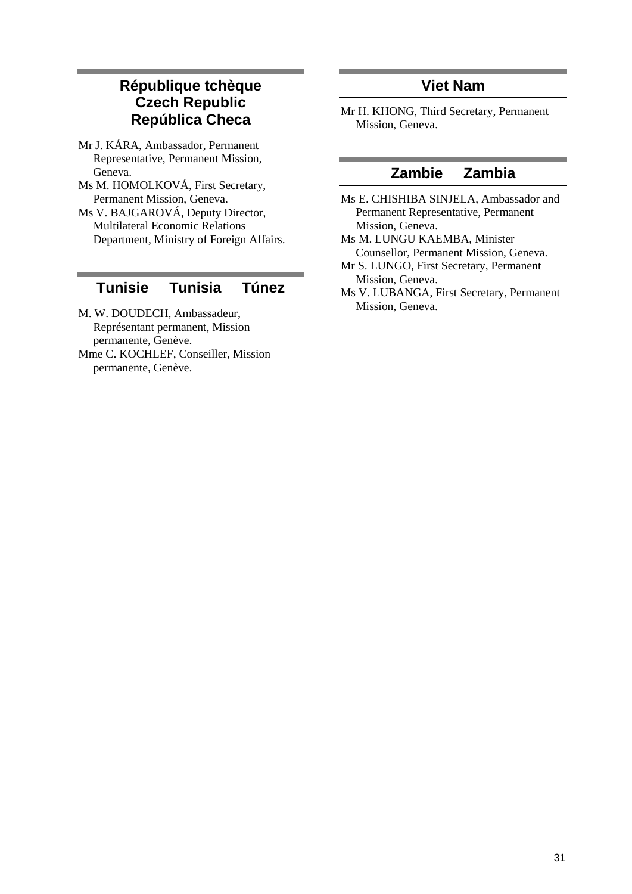## **République tchèque Czech Republic República Checa**

- Mr J. KÁRA, Ambassador, Permanent Representative, Permanent Mission, Geneva.
- Ms M. HOMOLKOVÁ, First Secretary, Permanent Mission, Geneva.
- Ms V. BAJGAROVÁ, Deputy Director, Multilateral Economic Relations Department, Ministry of Foreign Affairs.

## **Tunisie Tunisia Túnez**

- M. W. DOUDECH, Ambassadeur, Représentant permanent, Mission permanente, Genève.
- Mme C. KOCHLEF, Conseiller, Mission permanente, Genève.

## **Viet Nam**

Mr H. KHONG, Third Secretary, Permanent Mission, Geneva.

## **Zambie Zambia**

- Ms E. CHISHIBA SINJELA, Ambassador and Permanent Representative, Permanent Mission, Geneva.
- Ms M. LUNGU KAEMBA, Minister Counsellor, Permanent Mission, Geneva.
- Mr S. LUNGO, First Secretary, Permanent Mission, Geneva.
- Ms V. LUBANGA, First Secretary, Permanent Mission, Geneva.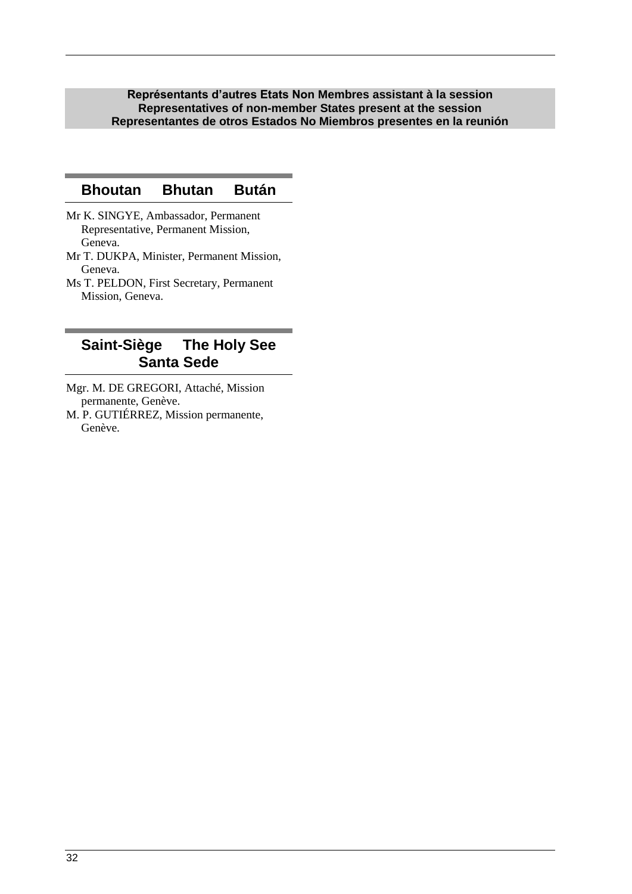**Représentants d'autres Etats Non Membres assistant à la session Representatives of non-member States present at the session Representantes de otros Estados No Miembros presentes en la reunión**

### **Bhoutan Bhutan Bután**

- Mr K. SINGYE, Ambassador, Permanent Representative, Permanent Mission, Geneva.
- Mr T. DUKPA, Minister, Permanent Mission, Geneva.
- Ms T. PELDON, First Secretary, Permanent Mission, Geneva.

## **Saint-Siège The Holy See Santa Sede**

- Mgr. M. DE GREGORI, Attaché, Mission permanente, Genève.
- M. P. GUTIÉRREZ, Mission permanente, Genève.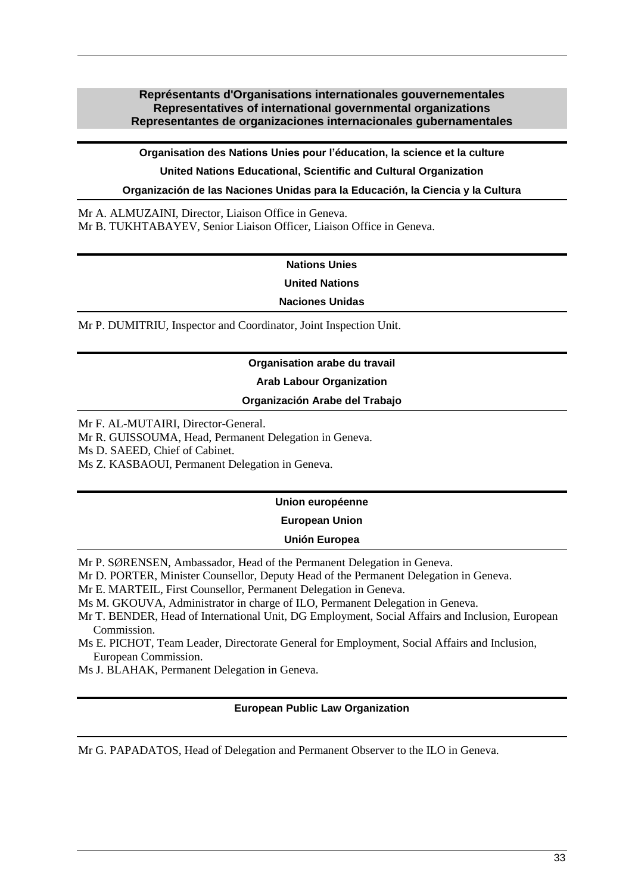### <span id="page-32-0"></span>**Représentants d'Organisations internationales gouvernementales Representatives of international governmental organizations Representantes de organizaciones internacionales gubernamentales**

**Organisation des Nations Unies pour l'éducation, la science et la culture United Nations Educational, Scientific and Cultural Organization Organización de las Naciones Unidas para la Educación, la Ciencia y la Cultura**

Mr A. ALMUZAINI, Director, Liaison Office in Geneva. Mr B. TUKHTABAYEV, Senior Liaison Officer, Liaison Office in Geneva.

### **Nations Unies**

**United Nations**

#### **Naciones Unidas**

Mr P. DUMITRIU, Inspector and Coordinator, Joint Inspection Unit.

#### **Organisation arabe du travail**

#### **Arab Labour Organization**

#### **Organización Arabe del Trabajo**

Mr F. AL-MUTAIRI, Director-General.

Mr R. GUISSOUMA, Head, Permanent Delegation in Geneva.

Ms D. SAEED, Chief of Cabinet.

Ms Z. KASBAOUI, Permanent Delegation in Geneva.

#### **Union européenne**

**European Union**

### **Unión Europea**

Mr P. SØRENSEN, Ambassador, Head of the Permanent Delegation in Geneva.

Mr D. PORTER, Minister Counsellor, Deputy Head of the Permanent Delegation in Geneva.

Mr E. MARTEIL, First Counsellor, Permanent Delegation in Geneva.

Ms M. GKOUVA, Administrator in charge of ILO, Permanent Delegation in Geneva.

- Mr T. BENDER, Head of International Unit, DG Employment, Social Affairs and Inclusion, European Commission.
- Ms E. PICHOT, Team Leader, Directorate General for Employment, Social Affairs and Inclusion, European Commission.
- Ms J. BLAHAK, Permanent Delegation in Geneva.

#### **European Public Law Organization**

Mr G. PAPADATOS, Head of Delegation and Permanent Observer to the ILO in Geneva.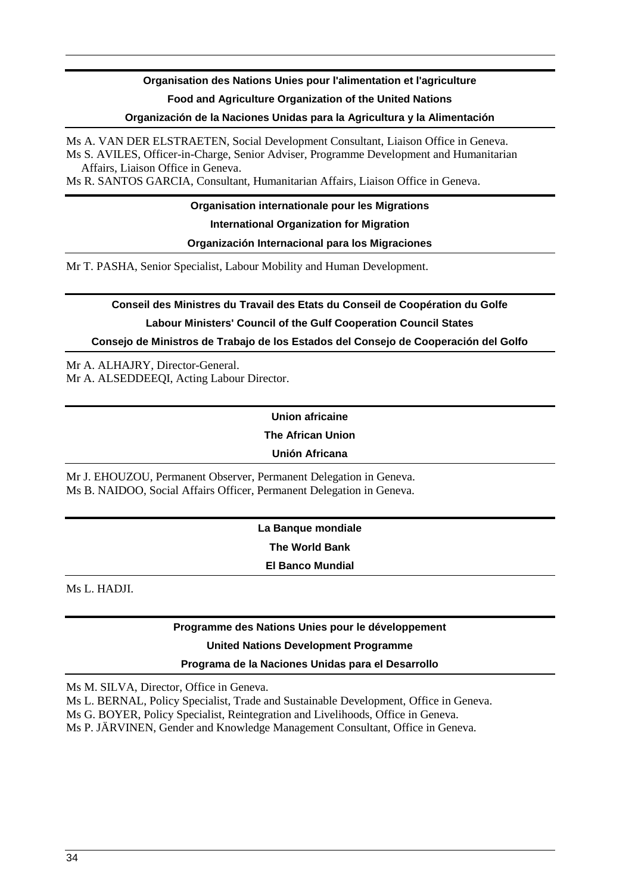## **Organisation des Nations Unies pour l'alimentation et l'agriculture Food and Agriculture Organization of the United Nations**

#### **Organización de la Naciones Unidas para la Agricultura y la Alimentación**

Ms A. VAN DER ELSTRAETEN, Social Development Consultant, Liaison Office in Geneva. Ms S. AVILES, Officer-in-Charge, Senior Adviser, Programme Development and Humanitarian Affairs, Liaison Office in Geneva.

Ms R. SANTOS GARCIA, Consultant, Humanitarian Affairs, Liaison Office in Geneva.

**Organisation internationale pour les Migrations International Organization for Migration Organización Internacional para los Migraciones**

Mr T. PASHA, Senior Specialist, Labour Mobility and Human Development.

## **Conseil des Ministres du Travail des Etats du Conseil de Coopération du Golfe Labour Ministers' Council of the Gulf Cooperation Council States Consejo de Ministros de Trabajo de los Estados del Consejo de Cooperación del Golfo**

Mr A. ALHAJRY, Director-General. Mr A. ALSEDDEEQI, Acting Labour Director.

## **Union africaine**

**The African Union**

### **Unión Africana**

Mr J. EHOUZOU, Permanent Observer, Permanent Delegation in Geneva. Ms B. NAIDOO, Social Affairs Officer, Permanent Delegation in Geneva.

> **La Banque mondiale The World Bank El Banco Mundial**

Ms L. HADJI.

### **Programme des Nations Unies pour le développement**

#### **United Nations Development Programme**

#### **Programa de la Naciones Unidas para el Desarrollo**

Ms M. SILVA, Director, Office in Geneva.

Ms L. BERNAL, Policy Specialist, Trade and Sustainable Development, Office in Geneva.

Ms G. BOYER, Policy Specialist, Reintegration and Livelihoods, Office in Geneva.

Ms P. JÄRVINEN, Gender and Knowledge Management Consultant, Office in Geneva.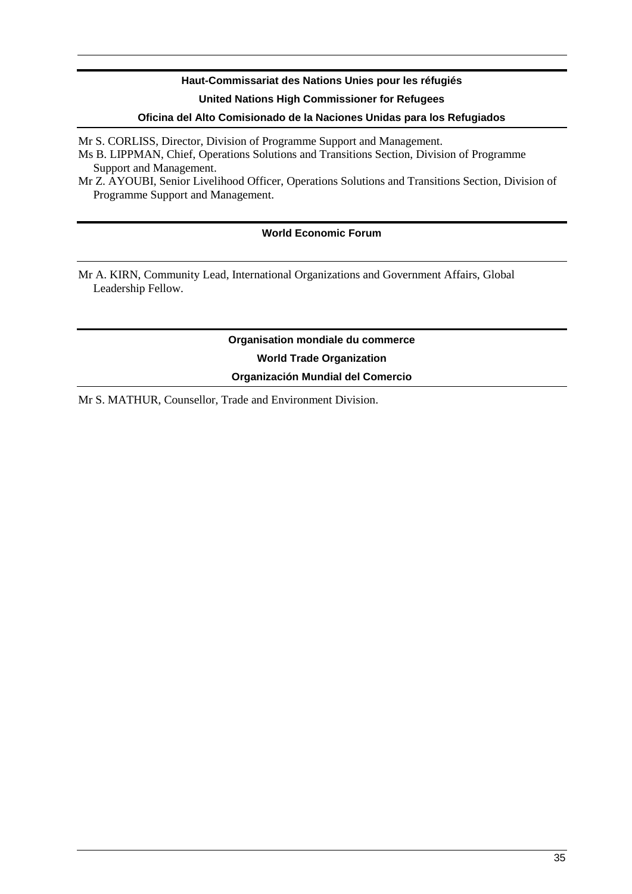## **Haut-Commissariat des Nations Unies pour les réfugiés United Nations High Commissioner for Refugees**

#### **Oficina del Alto Comisionado de la Naciones Unidas para los Refugiados**

Mr S. CORLISS, Director, Division of Programme Support and Management.

Ms B. LIPPMAN, Chief, Operations Solutions and Transitions Section, Division of Programme Support and Management.

Mr Z. AYOUBI, Senior Livelihood Officer, Operations Solutions and Transitions Section, Division of Programme Support and Management.

### **World Economic Forum**

Mr A. KIRN, Community Lead, International Organizations and Government Affairs, Global Leadership Fellow.

> **Organisation mondiale du commerce World Trade Organization Organización Mundial del Comercio**

Mr S. MATHUR, Counsellor, Trade and Environment Division.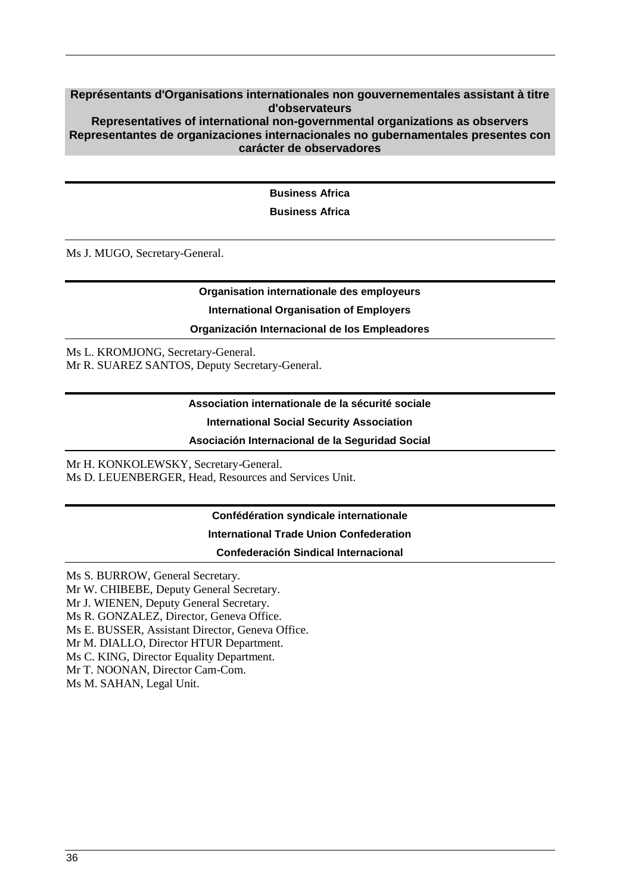#### <span id="page-35-0"></span>**Représentants d'Organisations internationales non gouvernementales assistant à titre d'observateurs Representatives of international non-governmental organizations as observers Representantes de organizaciones internacionales no gubernamentales presentes con**

#### **carácter de observadores**

**Business Africa**

**Business Africa**

Ms J. MUGO, Secretary-General.

# **Organisation internationale des employeurs**

## **International Organisation of Employers**

### **Organización Internacional de los Empleadores**

Ms L. KROMJONG, Secretary-General. Mr R. SUAREZ SANTOS, Deputy Secretary-General.

#### **Association internationale de la sécurité sociale**

### **International Social Security Association**

#### **Asociación Internacional de la Seguridad Social**

Mr H. KONKOLEWSKY, Secretary-General. Ms D. LEUENBERGER, Head, Resources and Services Unit.

### **Confédération syndicale internationale**

#### **International Trade Union Confederation**

#### **Confederación Sindical Internacional**

Ms S. BURROW, General Secretary.

Mr W. CHIBEBE, Deputy General Secretary.

Mr J. WIENEN, Deputy General Secretary.

Ms R. GONZALEZ, Director, Geneva Office.

Ms E. BUSSER, Assistant Director, Geneva Office.

Mr M. DIALLO, Director HTUR Department.

Ms C. KING, Director Equality Department.

Mr T. NOONAN, Director Cam-Com.

Ms M. SAHAN, Legal Unit.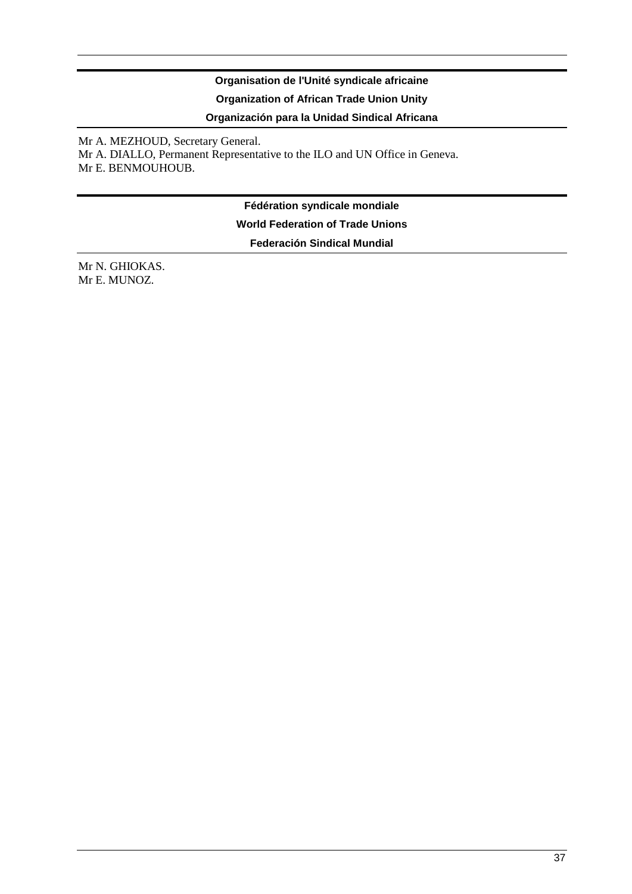## **Organisation de l'Unité syndicale africaine Organization of African Trade Union Unity**

**Organización para la Unidad Sindical Africana**

Mr A. MEZHOUD, Secretary General. Mr A. DIALLO, Permanent Representative to the ILO and UN Office in Geneva. Mr E. BENMOUHOUB.

> **Fédération syndicale mondiale World Federation of Trade Unions Federación Sindical Mundial**

Mr N. GHIOKAS. Mr E. MUNOZ.